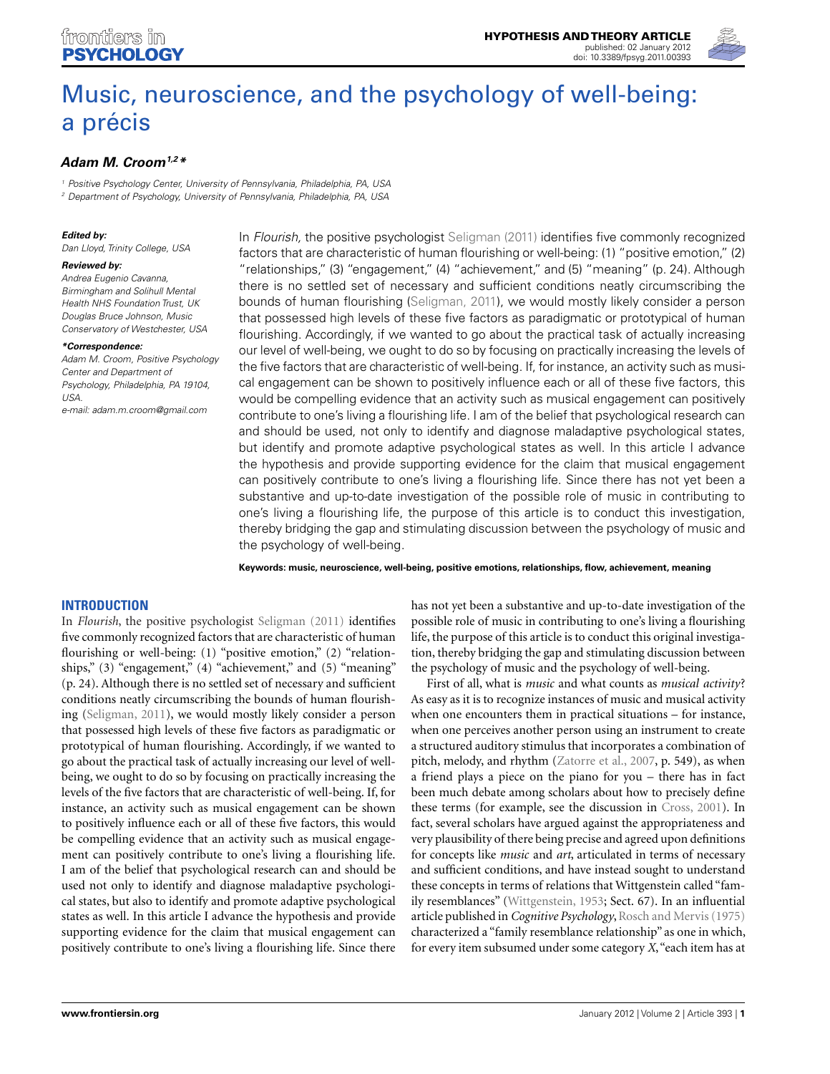

# [Music, neuroscience, and the psychology of well-being:](http://www.frontiersin.org/Theoretical_and_Philosophical_Psychology/10.3389/fpsyg.2012.00393/abstract) a précis

# *[Adam M. Croom1](http://www.frontiersin.org/Community/WhosWhoDetails.aspx?UID=40313&d=1&sname=AdamCroom&name=Science),2\**

<sup>1</sup> Positive Psychology Center, University of Pennsylvania, Philadelphia, PA, USA

<sup>2</sup> Department of Psychology, University of Pennsylvania, Philadelphia, PA, USA

### *Edited by:*

Dan Lloyd, Trinity College, USA

#### *Reviewed by:*

Andrea Eugenio Cavanna, Birmingham and Solihull Mental Health NHS Foundation Trust, UK Douglas Bruce Johnson, Music Conservatory of Westchester, USA

#### *\*Correspondence:*

Adam M. Croom, Positive Psychology Center and Department of Psychology, Philadelphia, PA 19104, USA. e-mail: [adam.m.croom@gmail.com](mailto:adam.m.croom@gmail.com)

In Flourish, the positive psychologist [Seligman](#page-13-0) [\(2011\)](#page-13-0) identifies five commonly recognized factors that are characteristic of human flourishing or well-being: (1) "positive emotion," (2) "relationships," (3) "engagement," (4) "achievement," and (5) "meaning" (p. 24). Although there is no settled set of necessary and sufficient conditions neatly circumscribing the bounds of human flourishing [\(Seligman, 2011\)](#page-13-0), we would mostly likely consider a person that possessed high levels of these five factors as paradigmatic or prototypical of human flourishing. Accordingly, if we wanted to go about the practical task of actually increasing our level of well-being, we ought to do so by focusing on practically increasing the levels of the five factors that are characteristic of well-being. If, for instance, an activity such as musical engagement can be shown to positively influence each or all of these five factors, this would be compelling evidence that an activity such as musical engagement can positively contribute to one's living a flourishing life. I am of the belief that psychological research can and should be used, not only to identify and diagnose maladaptive psychological states, but identify and promote adaptive psychological states as well. In this article I advance the hypothesis and provide supporting evidence for the claim that musical engagement can positively contribute to one's living a flourishing life. Since there has not yet been a substantive and up-to-date investigation of the possible role of music in contributing to one's living a flourishing life, the purpose of this article is to conduct this investigation, thereby bridging the gap and stimulating discussion between the psychology of music and the psychology of well-being.

**Keywords: music, neuroscience, well-being, positive emotions, relationships, flow, achievement, meaning**

## **INTRODUCTION**

In *Flourish*, the positive psychologist [Seligman](#page-13-0) [\(2011\)](#page-13-0) identifies five commonly recognized factors that are characteristic of human flourishing or well-being: (1) "positive emotion," (2) "relationships," (3) "engagement," (4) "achievement," and (5) "meaning" (p. 24). Although there is no settled set of necessary and sufficient conditions neatly circumscribing the bounds of human flourishing [\(Seligman](#page-13-0), [2011](#page-13-0)), we would mostly likely consider a person that possessed high levels of these five factors as paradigmatic or prototypical of human flourishing. Accordingly, if we wanted to go about the practical task of actually increasing our level of wellbeing, we ought to do so by focusing on practically increasing the levels of the five factors that are characteristic of well-being. If, for instance, an activity such as musical engagement can be shown to positively influence each or all of these five factors, this would be compelling evidence that an activity such as musical engagement can positively contribute to one's living a flourishing life. I am of the belief that psychological research can and should be used not only to identify and diagnose maladaptive psychological states, but also to identify and promote adaptive psychological states as well. In this article I advance the hypothesis and provide supporting evidence for the claim that musical engagement can positively contribute to one's living a flourishing life. Since there

has not yet been a substantive and up-to-date investigation of the possible role of music in contributing to one's living a flourishing life, the purpose of this article is to conduct this original investigation, thereby bridging the gap and stimulating discussion between the psychology of music and the psychology of well-being.

First of all, what is *music* and what counts as *musical activity*? As easy as it is to recognize instances of music and musical activity when one encounters them in practical situations – for instance, when one perceives another person using an instrument to create a structured auditory stimulus that incorporates a combination of pitch, melody, and rhythm [\(Zatorre et al.](#page-14-0), [2007](#page-14-0), p. 549), as when a friend plays a piece on the piano for you – there has in fact been much debate among scholars about how to precisely define these terms (for example, see the discussion in [Cross](#page-11-0), [2001\)](#page-11-0). In fact, several scholars have argued against the appropriateness and very plausibility of there being precise and agreed upon definitions for concepts like *music* and *art*, articulated in terms of necessary and sufficient conditions, and have instead sought to understand these concepts in terms of relations that Wittgenstein called "family resemblances" [\(Wittgenstein, 1953;](#page-13-0) Sect. 67). In an influential article published in *Cognitive Psychology*, Rosch and Mervis [\(1975](#page-13-0)) characterized a "family resemblance relationship" as one in which, for every item subsumed under some category *X*,"each item has at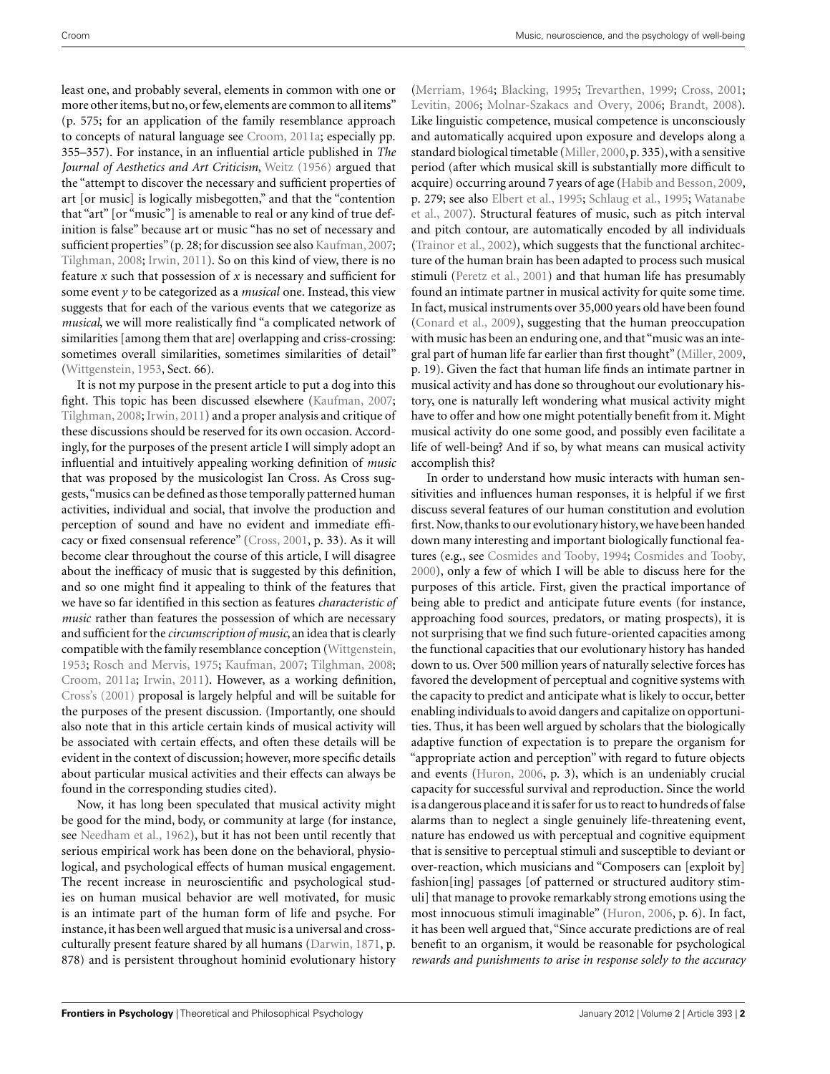least one, and probably several, elements in common with one or more other items, but no, or few, elements are common to all items" (p. 575; for an application of the family resemblance approach to concepts of natural language see [Croom](#page-11-0), [2011a](#page-11-0); especially pp. 355–357). For instance, in an influential article published in *The Journal of Aesthetics and Art Criticism*, [Weitz](#page-13-0) [\(1956](#page-13-0)) argued that the "attempt to discover the necessary and sufficient properties of art [or music] is logically misbegotten," and that the "contention that "art" [or "music"] is amenable to real or any kind of true definition is false" because art or music "has no set of necessary and sufficient properties" (p. 28; for discussion see also [Kaufman](#page-12-0), [2007;](#page-12-0) [Tilghman](#page-13-0), [2008;](#page-13-0) [Irwin](#page-12-0), [2011\)](#page-12-0). So on this kind of view, there is no feature *x* such that possession of *x* is necessary and sufficient for some event *y* to be categorized as a *musical* one. Instead, this view suggests that for each of the various events that we categorize as *musical*, we will more realistically find "a complicated network of similarities [among them that are] overlapping and criss-crossing: sometimes overall similarities, sometimes similarities of detail" [\(Wittgenstein, 1953](#page-13-0), Sect. 66).

It is not my purpose in the present article to put a dog into this fight. This topic has been discussed elsewhere [\(Kaufman](#page-12-0), [2007;](#page-12-0) [Tilghman](#page-13-0), [2008](#page-13-0); [Irwin](#page-12-0), [2011](#page-12-0)) and a proper analysis and critique of these discussions should be reserved for its own occasion. Accordingly, for the purposes of the present article I will simply adopt an influential and intuitively appealing working definition of *music* that was proposed by the musicologist Ian Cross. As Cross suggests,"musics can be defined as those temporally patterned human activities, individual and social, that involve the production and perception of sound and have no evident and immediate efficacy or fixed consensual reference" [\(Cross](#page-11-0), [2001](#page-11-0), p. 33). As it will become clear throughout the course of this article, I will disagree about the inefficacy of music that is suggested by this definition, and so one might find it appealing to think of the features that we have so far identified in this section as features *characteristic of music* rather than features the possession of which are necessary and sufficient for the *circumscription of music*, an idea that is clearly compatible with the family resemblance conception [\(Wittgenstein,](#page-13-0) [1953;](#page-13-0) [Rosch and Mervis, 1975](#page-13-0); [Kaufman](#page-12-0), [2007](#page-12-0); [Tilghman, 2008;](#page-13-0) [Croom](#page-11-0), [2011a](#page-11-0); [Irwin](#page-12-0), [2011\)](#page-12-0). However, as a working definition, [Cross's](#page-14-0) [\(2001\)](#page-14-0) proposal is largely helpful and will be suitable for the purposes of the present discussion. (Importantly, one should also note that in this article certain kinds of musical activity will be associated with certain effects, and often these details will be evident in the context of discussion; however, more specific details about particular musical activities and their effects can always be found in the corresponding studies cited).

Now, it has long been speculated that musical activity might be good for the mind, body, or community at large (for instance, see [Needham et al.](#page-12-0), [1962](#page-12-0)), but it has not been until recently that serious empirical work has been done on the behavioral, physiological, and psychological effects of human musical engagement. The recent increase in neuroscientific and psychological studies on human musical behavior are well motivated, for music is an intimate part of the human form of life and psyche. For instance, it has been well argued that music is a universal and crossculturally present feature shared by all humans [\(Darwin, 1871](#page-11-0), p. 878) and is persistent throughout hominid evolutionary history

[\(Merriam, 1964](#page-12-0); [Blacking, 1995](#page-10-0); [Trevarthen](#page-13-0), [1999](#page-13-0); [Cross, 2001;](#page-11-0) [Levitin, 2006;](#page-12-0) [Molnar-Szakacs and Overy](#page-12-0), [2006](#page-12-0); [Brandt](#page-10-0), [2008](#page-10-0)). Like linguistic competence, musical competence is unconsciously and automatically acquired upon exposure and develops along a standard biological timetable [\(Miller, 2000](#page-12-0), p. 335), with a sensitive period (after which musical skill is substantially more difficult to acquire) occurring around 7 years of age [\(Habib and Besson](#page-11-0), [2009,](#page-11-0) p. 279; see also [Elbert et al., 1995;](#page-11-0) [Schlaug et al.](#page-13-0), [1995;](#page-13-0) Watanabe et al., [2007\)](#page-13-0). Structural features of music, such as pitch interval and pitch contour, are automatically encoded by all individuals [\(Trainor et al., 2002\)](#page-13-0), which suggests that the functional architecture of the human brain has been adapted to process such musical stimuli [\(Peretz et al., 2001](#page-13-0)) and that human life has presumably found an intimate partner in musical activity for quite some time. In fact, musical instruments over 35,000 years old have been found [\(Conard et al.](#page-11-0), [2009\)](#page-11-0), suggesting that the human preoccupation with music has been an enduring one, and that "music was an integral part of human life far earlier than first thought" [\(Miller, 2009,](#page-12-0) p. 19). Given the fact that human life finds an intimate partner in musical activity and has done so throughout our evolutionary history, one is naturally left wondering what musical activity might have to offer and how one might potentially benefit from it. Might musical activity do one some good, and possibly even facilitate a life of well-being? And if so, by what means can musical activity accomplish this?

In order to understand how music interacts with human sensitivities and influences human responses, it is helpful if we first discuss several features of our human constitution and evolution first. Now, thanks to our evolutionary history, we have been handed down many interesting and important biologically functional features (e.g., see [Cosmides and Tooby](#page-11-0), [1994;](#page-11-0) [Cosmides and Tooby,](#page-11-0) [2000\)](#page-11-0), only a few of which I will be able to discuss here for the purposes of this article. First, given the practical importance of being able to predict and anticipate future events (for instance, approaching food sources, predators, or mating prospects), it is not surprising that we find such future-oriented capacities among the functional capacities that our evolutionary history has handed down to us. Over 500 million years of naturally selective forces has favored the development of perceptual and cognitive systems with the capacity to predict and anticipate what is likely to occur, better enabling individuals to avoid dangers and capitalize on opportunities. Thus, it has been well argued by scholars that the biologically adaptive function of expectation is to prepare the organism for "appropriate action and perception" with regard to future objects and events [\(Huron](#page-12-0), [2006,](#page-12-0) p. 3), which is an undeniably crucial capacity for successful survival and reproduction. Since the world is a dangerous place and it is safer for us to react to hundreds of false alarms than to neglect a single genuinely life-threatening event, nature has endowed us with perceptual and cognitive equipment that is sensitive to perceptual stimuli and susceptible to deviant or over-reaction, which musicians and "Composers can [exploit by] fashion[ing] passages [of patterned or structured auditory stimuli] that manage to provoke remarkably strong emotions using the most innocuous stimuli imaginable" [\(Huron, 2006](#page-12-0), p. 6). In fact, it has been well argued that, "Since accurate predictions are of real benefit to an organism, it would be reasonable for psychological *rewards and punishments to arise in response solely to the accuracy*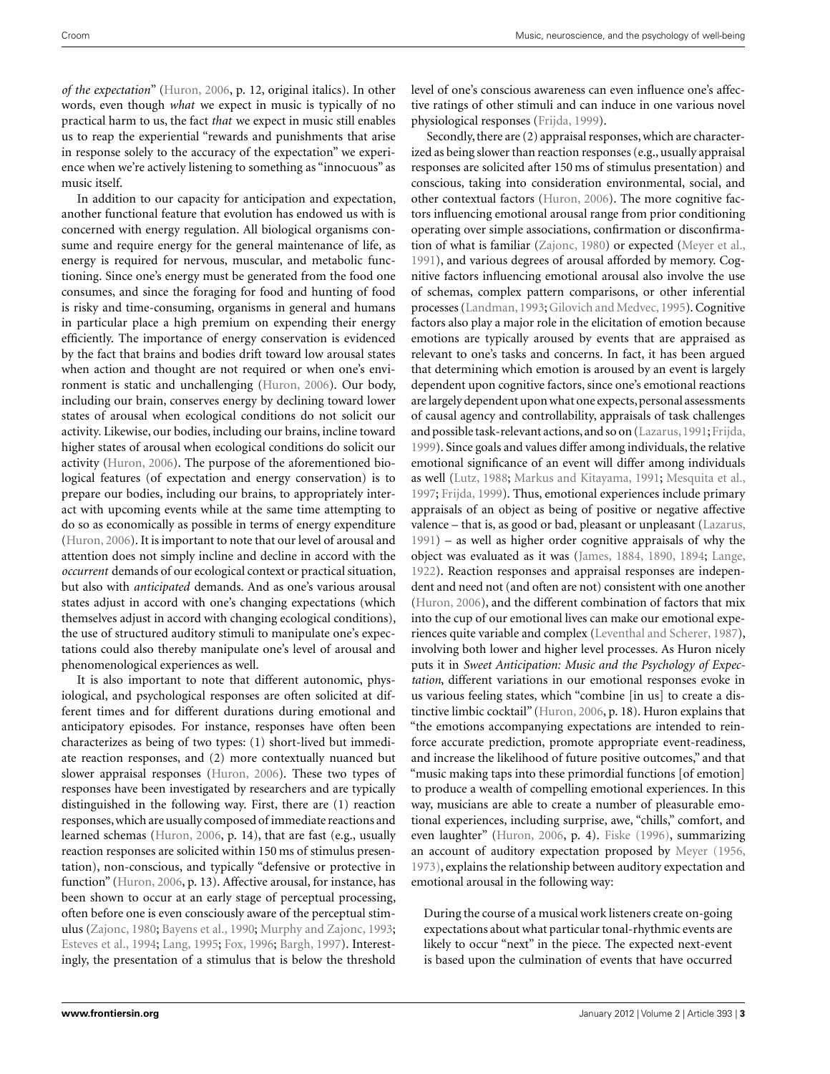*of the expectation*" [\(Huron](#page-12-0), [2006](#page-12-0), p. 12, original italics). In other words, even though *what* we expect in music is typically of no practical harm to us, the fact *that* we expect in music still enables us to reap the experiential "rewards and punishments that arise in response solely to the accuracy of the expectation" we experience when we're actively listening to something as "innocuous" as music itself.

In addition to our capacity for anticipation and expectation, another functional feature that evolution has endowed us with is concerned with energy regulation. All biological organisms consume and require energy for the general maintenance of life, as energy is required for nervous, muscular, and metabolic functioning. Since one's energy must be generated from the food one consumes, and since the foraging for food and hunting of food is risky and time-consuming, organisms in general and humans in particular place a high premium on expending their energy efficiently. The importance of energy conservation is evidenced by the fact that brains and bodies drift toward low arousal states when action and thought are not required or when one's environment is static and unchallenging [\(Huron](#page-12-0), [2006\)](#page-12-0). Our body, including our brain, conserves energy by declining toward lower states of arousal when ecological conditions do not solicit our activity. Likewise, our bodies, including our brains, incline toward higher states of arousal when ecological conditions do solicit our activity [\(Huron, 2006\)](#page-12-0). The purpose of the aforementioned biological features (of expectation and energy conservation) is to prepare our bodies, including our brains, to appropriately interact with upcoming events while at the same time attempting to do so as economically as possible in terms of energy expenditure [\(Huron](#page-12-0), [2006](#page-12-0)). It is important to note that our level of arousal and attention does not simply incline and decline in accord with the *occurrent* demands of our ecological context or practical situation, but also with *anticipated* demands. And as one's various arousal states adjust in accord with one's changing expectations (which themselves adjust in accord with changing ecological conditions), the use of structured auditory stimuli to manipulate one's expectations could also thereby manipulate one's level of arousal and phenomenological experiences as well.

It is also important to note that different autonomic, physiological, and psychological responses are often solicited at different times and for different durations during emotional and anticipatory episodes. For instance, responses have often been characterizes as being of two types: (1) short-lived but immediate reaction responses, and (2) more contextually nuanced but slower appraisal responses [\(Huron](#page-12-0), [2006\)](#page-12-0). These two types of responses have been investigated by researchers and are typically distinguished in the following way. First, there are (1) reaction responses,which are usually composed of immediate reactions and learned schemas [\(Huron, 2006,](#page-12-0) p. 14), that are fast (e.g., usually reaction responses are solicited within 150 ms of stimulus presentation), non-conscious, and typically "defensive or protective in function" [\(Huron](#page-12-0), [2006](#page-12-0), p. 13). Affective arousal, for instance, has been shown to occur at an early stage of perceptual processing, often before one is even consciously aware of the perceptual stimulus [\(Zajonc](#page-13-0), [1980](#page-13-0); [Bayens et al., 1990;](#page-10-0) [Murphy and Zajonc](#page-12-0), [1993;](#page-12-0) [Esteves et al., 1994](#page-11-0); [Lang, 1995](#page-12-0); [Fox](#page-11-0), [1996;](#page-11-0) [Bargh](#page-10-0), [1997\)](#page-10-0). Interestingly, the presentation of a stimulus that is below the threshold level of one's conscious awareness can even influence one's affective ratings of other stimuli and can induce in one various novel physiological responses [\(Frijda, 1999\)](#page-11-0).

Secondly, there are (2) appraisal responses, which are characterized as being slower than reaction responses (e.g., usually appraisal responses are solicited after 150 ms of stimulus presentation) and conscious, taking into consideration environmental, social, and other contextual factors [\(Huron](#page-12-0), [2006](#page-12-0)). The more cognitive factors influencing emotional arousal range from prior conditioning operating over simple associations, confirmation or disconfirmation of what is familiar [\(Zajonc, 1980\)](#page-13-0) or expected [\(Meyer et al.,](#page-12-0) [1991\)](#page-12-0), and various degrees of arousal afforded by memory. Cognitive factors influencing emotional arousal also involve the use of schemas, complex pattern comparisons, or other inferential processes [\(Landman, 1993;](#page-12-0) [Gilovich and Medvec](#page-11-0), [1995\)](#page-11-0). Cognitive factors also play a major role in the elicitation of emotion because emotions are typically aroused by events that are appraised as relevant to one's tasks and concerns. In fact, it has been argued that determining which emotion is aroused by an event is largely dependent upon cognitive factors, since one's emotional reactions are largely dependent upon what one expects, personal assessments of causal agency and controllability, appraisals of task challenges and possible task-relevant actions, and so on [\(Lazarus](#page-12-0),[1991;](#page-12-0) [Frijda,](#page-11-0) [1999\)](#page-11-0). Since goals and values differ among individuals, the relative emotional significance of an event will differ among individuals as well [\(Lutz, 1988;](#page-12-0) [Markus and Kitayama, 1991;](#page-12-0) [Mesquita et al.,](#page-12-0) [1997;](#page-12-0) [Frijda](#page-11-0), [1999\)](#page-11-0). Thus, emotional experiences include primary appraisals of an object as being of positive or negative affective valence – that is, as good or bad, pleasant or unpleasant [\(Lazarus,](#page-12-0) [1991\)](#page-12-0) – as well as higher order cognitive appraisals of why the object was evaluated as it was [\(James](#page-12-0), [1884, 1890](#page-12-0), [1894;](#page-12-0) [Lange,](#page-12-0) [1922\)](#page-12-0). Reaction responses and appraisal responses are independent and need not (and often are not) consistent with one another [\(Huron](#page-12-0), [2006\)](#page-12-0), and the different combination of factors that mix into the cup of our emotional lives can make our emotional experiences quite variable and complex [\(Leventhal and Scherer](#page-12-0), [1987](#page-12-0)), involving both lower and higher level processes. As Huron nicely puts it in *Sweet Anticipation: Music and the Psychology of Expectation*, different variations in our emotional responses evoke in us various feeling states, which "combine [in us] to create a distinctive limbic cocktail" [\(Huron, 2006](#page-12-0), p. 18). Huron explains that "the emotions accompanying expectations are intended to reinforce accurate prediction, promote appropriate event-readiness, and increase the likelihood of future positive outcomes," and that "music making taps into these primordial functions [of emotion] to produce a wealth of compelling emotional experiences. In this way, musicians are able to create a number of pleasurable emotional experiences, including surprise, awe, "chills," comfort, and even laughter" [\(Huron, 2006,](#page-12-0) p. 4). [Fiske](#page-11-0) [\(1996\)](#page-11-0), summarizing an account of auditory expectation proposed by [Meyer](#page-12-0) [\(1956,](#page-12-0) [1973\)](#page-12-0), explains the relationship between auditory expectation and emotional arousal in the following way:

During the course of a musical work listeners create on-going expectations about what particular tonal-rhythmic events are likely to occur "next" in the piece. The expected next-event is based upon the culmination of events that have occurred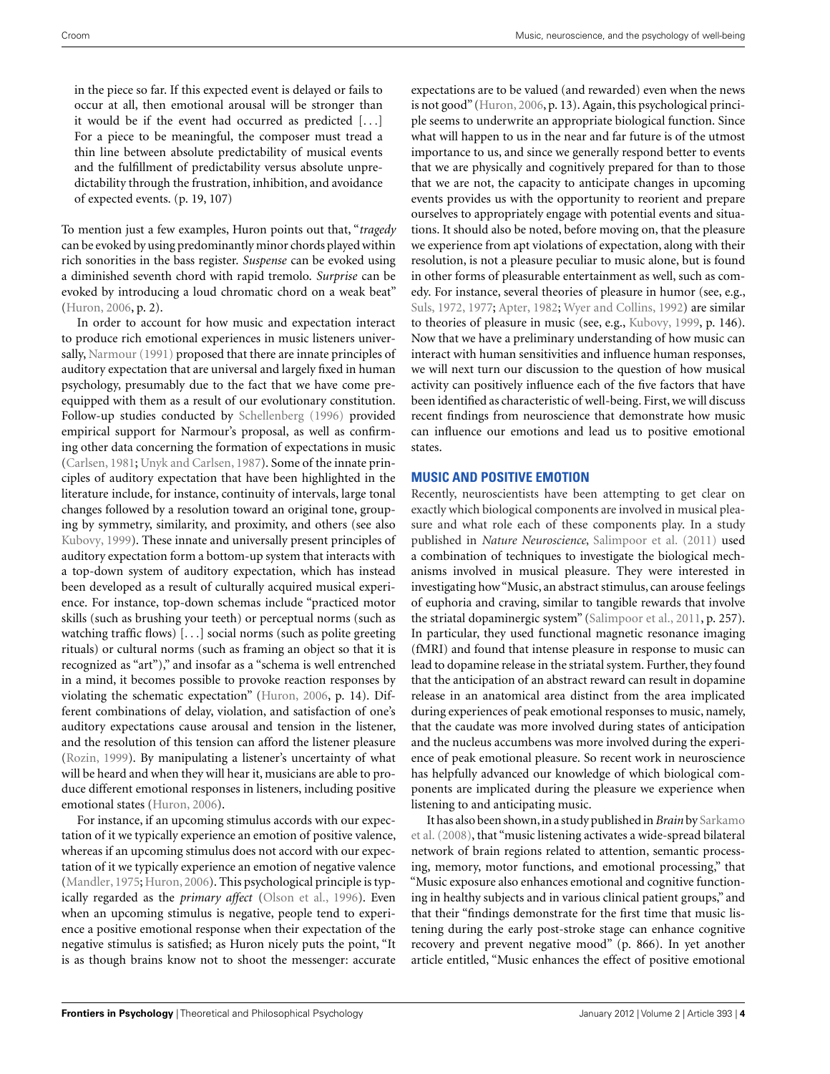in the piece so far. If this expected event is delayed or fails to occur at all, then emotional arousal will be stronger than it would be if the event had occurred as predicted [...] For a piece to be meaningful, the composer must tread a thin line between absolute predictability of musical events and the fulfillment of predictability versus absolute unpredictability through the frustration, inhibition, and avoidance of expected events. (p. 19, 107)

To mention just a few examples, Huron points out that, "*tragedy* can be evoked by using predominantly minor chords played within rich sonorities in the bass register. *Suspense* can be evoked using a diminished seventh chord with rapid tremolo. *Surprise* can be evoked by introducing a loud chromatic chord on a weak beat" [\(Huron](#page-12-0), [2006,](#page-12-0) p. 2).

In order to account for how music and expectation interact to produce rich emotional experiences in music listeners universally, [Narmour](#page-12-0) [\(1991](#page-12-0)) proposed that there are innate principles of auditory expectation that are universal and largely fixed in human psychology, presumably due to the fact that we have come preequipped with them as a result of our evolutionary constitution. Follow-up studies conducted by [Schellenberg](#page-13-0) [\(1996](#page-13-0)) provided empirical support for Narmour's proposal, as well as confirming other data concerning the formation of expectations in music [\(Carlsen, 1981;](#page-10-0) [Unyk and Carlsen, 1987\)](#page-13-0). Some of the innate principles of auditory expectation that have been highlighted in the literature include, for instance, continuity of intervals, large tonal changes followed by a resolution toward an original tone, grouping by symmetry, similarity, and proximity, and others (see also [Kubovy](#page-12-0), [1999\)](#page-12-0). These innate and universally present principles of auditory expectation form a bottom-up system that interacts with a top-down system of auditory expectation, which has instead been developed as a result of culturally acquired musical experience. For instance, top-down schemas include "practiced motor skills (such as brushing your teeth) or perceptual norms (such as watching traffic flows) [...] social norms (such as polite greeting rituals) or cultural norms (such as framing an object so that it is recognized as "art")," and insofar as a "schema is well entrenched in a mind, it becomes possible to provoke reaction responses by violating the schematic expectation" [\(Huron](#page-12-0), [2006,](#page-12-0) p. 14). Different combinations of delay, violation, and satisfaction of one's auditory expectations cause arousal and tension in the listener, and the resolution of this tension can afford the listener pleasure [\(Rozin](#page-13-0), [1999\)](#page-13-0). By manipulating a listener's uncertainty of what will be heard and when they will hear it, musicians are able to produce different emotional responses in listeners, including positive emotional states [\(Huron, 2006](#page-12-0)).

For instance, if an upcoming stimulus accords with our expectation of it we typically experience an emotion of positive valence, whereas if an upcoming stimulus does not accord with our expectation of it we typically experience an emotion of negative valence [\(Mandler](#page-12-0), [1975](#page-12-0); [Huron](#page-12-0), [2006](#page-12-0)). This psychological principle is typically regarded as the *primary affect* [\(Olson et al.](#page-12-0), [1996](#page-12-0)). Even when an upcoming stimulus is negative, people tend to experience a positive emotional response when their expectation of the negative stimulus is satisfied; as Huron nicely puts the point, "It is as though brains know not to shoot the messenger: accurate

expectations are to be valued (and rewarded) even when the news is not good" [\(Huron, 2006,](#page-12-0) p. 13). Again, this psychological principle seems to underwrite an appropriate biological function. Since what will happen to us in the near and far future is of the utmost importance to us, and since we generally respond better to events that we are physically and cognitively prepared for than to those that we are not, the capacity to anticipate changes in upcoming events provides us with the opportunity to reorient and prepare ourselves to appropriately engage with potential events and situations. It should also be noted, before moving on, that the pleasure we experience from apt violations of expectation, along with their resolution, is not a pleasure peculiar to music alone, but is found in other forms of pleasurable entertainment as well, such as comedy. For instance, several theories of pleasure in humor (see, e.g., [Suls, 1972](#page-13-0), [1977;](#page-13-0) [Apter](#page-10-0), [1982;](#page-10-0) [Wyer and Collins, 1992](#page-13-0)) are similar to theories of pleasure in music (see, e.g., [Kubovy](#page-12-0), [1999](#page-12-0), p. 146). Now that we have a preliminary understanding of how music can interact with human sensitivities and influence human responses, we will next turn our discussion to the question of how musical activity can positively influence each of the five factors that have been identified as characteristic of well-being. First, we will discuss recent findings from neuroscience that demonstrate how music can influence our emotions and lead us to positive emotional states.

## **MUSIC AND POSITIVE EMOTION**

Recently, neuroscientists have been attempting to get clear on exactly which biological components are involved in musical pleasure and what role each of these components play. In a study published in *Nature Neuroscience*, [Salimpoor et al.](#page-13-0) [\(2011](#page-13-0)) used a combination of techniques to investigate the biological mechanisms involved in musical pleasure. They were interested in investigating how "Music, an abstract stimulus, can arouse feelings of euphoria and craving, similar to tangible rewards that involve the striatal dopaminergic system" [\(Salimpoor et al., 2011](#page-13-0), p. 257). In particular, they used functional magnetic resonance imaging (fMRI) and found that intense pleasure in response to music can lead to dopamine release in the striatal system. Further, they found that the anticipation of an abstract reward can result in dopamine release in an anatomical area distinct from the area implicated during experiences of peak emotional responses to music, namely, that the caudate was more involved during states of anticipation and the nucleus accumbens was more involved during the experience of peak emotional pleasure. So recent work in neuroscience has helpfully advanced our knowledge of which biological components are implicated during the pleasure we experience when listening to and anticipating music.

It has also been shown, in a study published in *Brain* by Sarkamo et al. [\(2008\)](#page-13-0), that "music listening activates a wide-spread bilateral network of brain regions related to attention, semantic processing, memory, motor functions, and emotional processing," that "Music exposure also enhances emotional and cognitive functioning in healthy subjects and in various clinical patient groups," and that their "findings demonstrate for the first time that music listening during the early post-stroke stage can enhance cognitive recovery and prevent negative mood" (p. 866). In yet another article entitled, "Music enhances the effect of positive emotional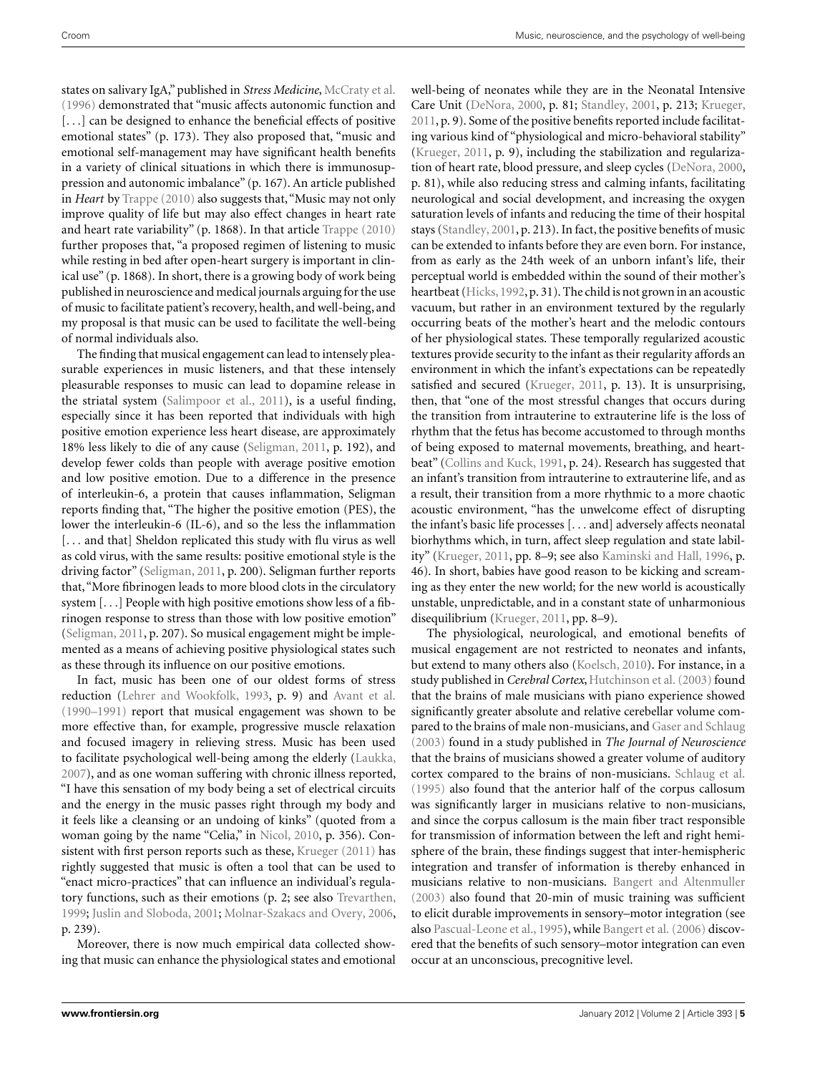states on salivary IgA," published in *Stress Medicine*, [McCraty et al.](#page-12-0) [\(1996](#page-12-0)) demonstrated that "music affects autonomic function and [...] can be designed to enhance the beneficial effects of positive emotional states" (p. 173). They also proposed that, "music and emotional self-management may have significant health benefits in a variety of clinical situations in which there is immunosuppression and autonomic imbalance" (p. 167). An article published in *Heart* by [Trappe](#page-13-0) [\(2010](#page-13-0)) also suggests that, "Music may not only improve quality of life but may also effect changes in heart rate and heart rate variability" (p. 1868). In that article [Trappe](#page-13-0) [\(2010](#page-13-0)) further proposes that, "a proposed regimen of listening to music while resting in bed after open-heart surgery is important in clinical use" (p. 1868). In short, there is a growing body of work being published in neuroscience and medical journals arguing for the use of music to facilitate patient's recovery, health, and well-being, and my proposal is that music can be used to facilitate the well-being of normal individuals also.

The finding that musical engagement can lead to intensely pleasurable experiences in music listeners, and that these intensely pleasurable responses to music can lead to dopamine release in the striatal system [\(Salimpoor et al., 2011\)](#page-13-0), is a useful finding, especially since it has been reported that individuals with high positive emotion experience less heart disease, are approximately 18% less likely to die of any cause [\(Seligman, 2011,](#page-13-0) p. 192), and develop fewer colds than people with average positive emotion and low positive emotion. Due to a difference in the presence of interleukin-6, a protein that causes inflammation, Seligman reports finding that, "The higher the positive emotion (PES), the lower the interleukin-6 (IL-6), and so the less the inflammation [... and that] Sheldon replicated this study with flu virus as well as cold virus, with the same results: positive emotional style is the driving factor" [\(Seligman](#page-13-0), [2011,](#page-13-0) p. 200). Seligman further reports that, "More fibrinogen leads to more blood clots in the circulatory system [...] People with high positive emotions show less of a fibrinogen response to stress than those with low positive emotion" [\(Seligman, 2011](#page-13-0), p. 207). So musical engagement might be implemented as a means of achieving positive physiological states such as these through its influence on our positive emotions.

In fact, music has been one of our oldest forms of stress reduction [\(Lehrer and Wookfolk](#page-12-0), [1993](#page-12-0), p. 9) and [Avant et al.](#page-10-0) [\(1990–1991\)](#page-10-0) report that musical engagement was shown to be more effective than, for example, progressive muscle relaxation and focused imagery in relieving stress. Music has been used to facilitate psychological well-being among the elderly [\(Laukka,](#page-12-0) [2007\)](#page-12-0), and as one woman suffering with chronic illness reported, "I have this sensation of my body being a set of electrical circuits and the energy in the music passes right through my body and it feels like a cleansing or an undoing of kinks" (quoted from a woman going by the name "Celia," in [Nicol](#page-12-0), [2010](#page-12-0), p. 356). Consistent with first person reports such as these, [Krueger](#page-12-0) [\(2011\)](#page-12-0) has rightly suggested that music is often a tool that can be used to "enact micro-practices" that can influence an individual's regulatory functions, such as their emotions (p. 2; see also [Trevarthen,](#page-13-0) [1999;](#page-13-0) [Juslin and Sloboda, 2001](#page-12-0); [Molnar-Szakacs and Overy, 2006,](#page-12-0) p. 239).

Moreover, there is now much empirical data collected showing that music can enhance the physiological states and emotional well-being of neonates while they are in the Neonatal Intensive Care Unit [\(DeNora](#page-11-0), [2000](#page-11-0), p. 81; [Standley](#page-13-0), [2001](#page-13-0), p. 213; [Krueger,](#page-12-0) [2011,](#page-12-0) p. 9). Some of the positive benefits reported include facilitating various kind of "physiological and micro-behavioral stability" [\(Krueger](#page-12-0), [2011](#page-12-0), p. 9), including the stabilization and regularization of heart rate, blood pressure, and sleep cycles [\(DeNora, 2000,](#page-11-0) p. 81), while also reducing stress and calming infants, facilitating neurological and social development, and increasing the oxygen saturation levels of infants and reducing the time of their hospital stays [\(Standley, 2001,](#page-13-0) p. 213). In fact, the positive benefits of music can be extended to infants before they are even born. For instance, from as early as the 24th week of an unborn infant's life, their perceptual world is embedded within the sound of their mother's heartbeat [\(Hicks, 1992](#page-12-0), p. 31). The child is not grown in an acoustic vacuum, but rather in an environment textured by the regularly occurring beats of the mother's heart and the melodic contours of her physiological states. These temporally regularized acoustic textures provide security to the infant as their regularity affords an environment in which the infant's expectations can be repeatedly satisfied and secured [\(Krueger, 2011](#page-12-0), p. 13). It is unsurprising, then, that "one of the most stressful changes that occurs during the transition from intrauterine to extrauterine life is the loss of rhythm that the fetus has become accustomed to through months of being exposed to maternal movements, breathing, and heartbeat" [\(Collins and Kuck](#page-11-0), [1991,](#page-11-0) p. 24). Research has suggested that an infant's transition from intrauterine to extrauterine life, and as a result, their transition from a more rhythmic to a more chaotic acoustic environment, "has the unwelcome effect of disrupting the infant's basic life processes [... and] adversely affects neonatal biorhythms which, in turn, affect sleep regulation and state lability" [\(Krueger](#page-12-0), [2011,](#page-12-0) pp. 8–9; see also [Kaminski and Hall, 1996](#page-12-0), p. 46). In short, babies have good reason to be kicking and screaming as they enter the new world; for the new world is acoustically unstable, unpredictable, and in a constant state of unharmonious disequilibrium [\(Krueger, 2011,](#page-12-0) pp. 8–9).

The physiological, neurological, and emotional benefits of musical engagement are not restricted to neonates and infants, but extend to many others also [\(Koelsch, 2010](#page-12-0)). For instance, in a study published in *Cerebral Cortex*, [Hutchinson et al.](#page-12-0) [\(2003\)](#page-12-0) found that the brains of male musicians with piano experience showed significantly greater absolute and relative cerebellar volume compared to the brains of male non-musicians, and [Gaser and Schlaug](#page-11-0) [\(2003](#page-11-0)) found in a study published in *The Journal of Neuroscience* that the brains of musicians showed a greater volume of auditory cortex compared to the brains of non-musicians. [Schlaug et al.](#page-13-0) [\(1995](#page-13-0)) also found that the anterior half of the corpus callosum was significantly larger in musicians relative to non-musicians, and since the corpus callosum is the main fiber tract responsible for transmission of information between the left and right hemisphere of the brain, these findings suggest that inter-hemispheric integration and transfer of information is thereby enhanced in musicians relative to non-musicians. [Bangert and Altenmuller](#page-10-0) [\(2003](#page-10-0)) also found that 20-min of music training was sufficient to elicit durable improvements in sensory–motor integration (see also [Pascual-Leone et al., 1995\)](#page-13-0), while [Bangert et al.](#page-10-0) [\(2006](#page-10-0)) discovered that the benefits of such sensory–motor integration can even occur at an unconscious, precognitive level.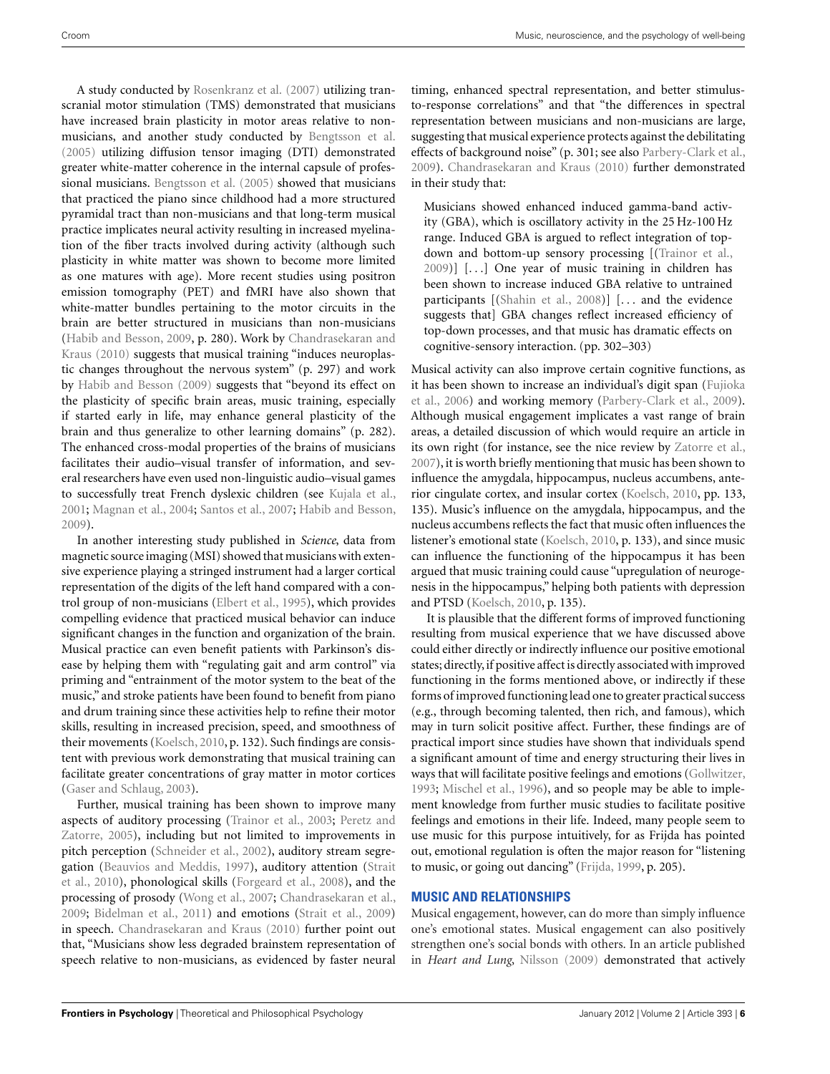A study conducted by [Rosenkranz et al.](#page-13-0) [\(2007](#page-13-0)) utilizing transcranial motor stimulation (TMS) demonstrated that musicians have increased brain plasticity in motor areas relative to nonmusicians, and another study conducted by [Bengtsson et al.](#page-10-0) [\(2005](#page-10-0)) utilizing diffusion tensor imaging (DTI) demonstrated greater white-matter coherence in the internal capsule of professional musicians. [Bengtsson et al.](#page-10-0) [\(2005](#page-10-0)) showed that musicians that practiced the piano since childhood had a more structured pyramidal tract than non-musicians and that long-term musical practice implicates neural activity resulting in increased myelination of the fiber tracts involved during activity (although such plasticity in white matter was shown to become more limited as one matures with age). More recent studies using positron emission tomography (PET) and fMRI have also shown that white-matter bundles pertaining to the motor circuits in the brain are better structured in musicians than non-musicians [\(Habib and Besson](#page-11-0)[,](#page-10-0) [2009](#page-11-0)[,](#page-10-0) [p.](#page-10-0) [280\).](#page-10-0) [Work](#page-10-0) [by](#page-10-0) Chandrasekaran and Kraus [\(2010](#page-10-0)) suggests that musical training "induces neuroplastic changes throughout the nervous system" (p. 297) and work by [Habib and Besson](#page-11-0) [\(2009\)](#page-11-0) suggests that "beyond its effect on the plasticity of specific brain areas, music training, especially if started early in life, may enhance general plasticity of the brain and thus generalize to other learning domains" (p. 282). The enhanced cross-modal properties of the brains of musicians facilitates their audio–visual transfer of information, and several researchers have even used non-linguistic audio–visual games to successfully treat French dyslexic children (see [Kujala et al.,](#page-12-0) [2001;](#page-12-0) [Magnan et al.](#page-12-0), [2004](#page-12-0); [Santos et al.](#page-13-0), [2007](#page-13-0); [Habib and Besson,](#page-11-0) [2009\)](#page-11-0).

In another interesting study published in *Science*, data from magnetic source imaging (MSI) showed that musicians with extensive experience playing a stringed instrument had a larger cortical representation of the digits of the left hand compared with a control group of non-musicians [\(Elbert et al.](#page-11-0), [1995](#page-11-0)), which provides compelling evidence that practiced musical behavior can induce significant changes in the function and organization of the brain. Musical practice can even benefit patients with Parkinson's disease by helping them with "regulating gait and arm control" via priming and "entrainment of the motor system to the beat of the music," and stroke patients have been found to benefit from piano and drum training since these activities help to refine their motor skills, resulting in increased precision, speed, and smoothness of their movements [\(Koelsch, 2010,](#page-12-0) p. 132). Such findings are consistent with previous work demonstrating that musical training can facilitate greater concentrations of gray matter in motor cortices [\(Gaser and Schlaug](#page-11-0), [2003\)](#page-11-0).

Further, musical training has been shown to improve many aspects [of auditory processing \(Trainor et al., 2003;](#page-13-0) Peretz and Zatorre, [2005](#page-13-0)), including but not limited to improvements in pitch perception [\(Schneider et al., 2002\)](#page-13-0), auditory stream segregati[on](#page-13-0) [\(Beauvios and Meddis](#page-10-0)[,](#page-13-0) [1997](#page-10-0)[\), auditory attention \(](#page-13-0)Strait et al., [2010\)](#page-13-0), phonological skills [\(Forgeard et al.](#page-11-0), [2008\)](#page-11-0), and the processing of prosody [\(Wong et al., 2007;](#page-13-0) [Chandrasekaran et al.,](#page-10-0) [2009;](#page-10-0) [Bidelman et al.](#page-10-0), [2011\)](#page-10-0) and emotions [\(Strait et al., 2009](#page-13-0)) in speech. [Chandrasekaran and Kraus](#page-10-0) [\(2010\)](#page-10-0) further point out that, "Musicians show less degraded brainstem representation of speech relative to non-musicians, as evidenced by faster neural

timing, enhanced spectral representation, and better stimulusto-response correlations" and that "the differences in spectral representation between musicians and non-musicians are large, suggesting that musical experience protects against the debilitating effects of background noise" (p. 301; see also [Parbery-Clark et al.,](#page-13-0) [2009\)](#page-13-0). [Chandrasekaran and Kraus](#page-10-0) [\(2010](#page-10-0)) further demonstrated in their study that:

Musicians showed enhanced induced gamma-band activity (GBA), which is oscillatory activity in the 25 Hz-100 Hz range. Induced GBA is argued to reflect integration of topdown and bottom-up sensory processing [[\(Trainor et al.](#page-13-0), [2009\)](#page-13-0)] [...] One year of music training in children has been shown to increase induced GBA relative to untrained participants [[\(Shahin et al.](#page-13-0), [2008\)](#page-13-0)] [... and the evidence suggests that] GBA changes reflect increased efficiency of top-down processes, and that music has dramatic effects on cognitive-sensory interaction. (pp. 302–303)

Musical activity can also improve certain cognitive functions, as it ha[s been shown to increase an individual's digit span \(](#page-11-0)Fujioka et al., [2006\)](#page-11-0) and working memory [\(Parbery-Clark et al., 2009](#page-13-0)). Although musical engagement implicates a vast range of brain areas, a detailed discussion of which would require an article in its own right (for instance, see the nice review by [Zatorre et al.,](#page-14-0) [2007\)](#page-14-0), it is worth briefly mentioning that music has been shown to influence the amygdala, hippocampus, nucleus accumbens, anterior cingulate cortex, and insular cortex [\(Koelsch, 2010,](#page-12-0) pp. 133, 135). Music's influence on the amygdala, hippocampus, and the nucleus accumbens reflects the fact that music often influences the listener's emotional state [\(Koelsch, 2010](#page-12-0), p. 133), and since music can influence the functioning of the hippocampus it has been argued that music training could cause "upregulation of neurogenesis in the hippocampus," helping both patients with depression and PTSD [\(Koelsch](#page-12-0), [2010,](#page-12-0) p. 135).

It is plausible that the different forms of improved functioning resulting from musical experience that we have discussed above could either directly or indirectly influence our positive emotional states; directly,if positive affect is directly associated with improved functioning in the forms mentioned above, or indirectly if these forms of improved functioning lead one to greater practical success (e.g., through becoming talented, then rich, and famous), which may in turn solicit positive affect. Further, these findings are of practical import since studies have shown that individuals spend a significant amount of time and energy structuring their lives in ways that will facilitate positive feelings and emotions [\(Gollwitzer,](#page-11-0) [1993;](#page-11-0) [Mischel et al., 1996\)](#page-12-0), and so people may be able to implement knowledge from further music studies to facilitate positive feelings and emotions in their life. Indeed, many people seem to use music for this purpose intuitively, for as Frijda has pointed out, emotional regulation is often the major reason for "listening to music, or going out dancing" [\(Frijda, 1999](#page-11-0), p. 205).

## **MUSIC AND RELATIONSHIPS**

Musical engagement, however, can do more than simply influence one's emotional states. Musical engagement can also positively strengthen one's social bonds with others. In an article published in *Heart and Lung*, [Nilsson](#page-12-0) [\(2009\)](#page-12-0) demonstrated that actively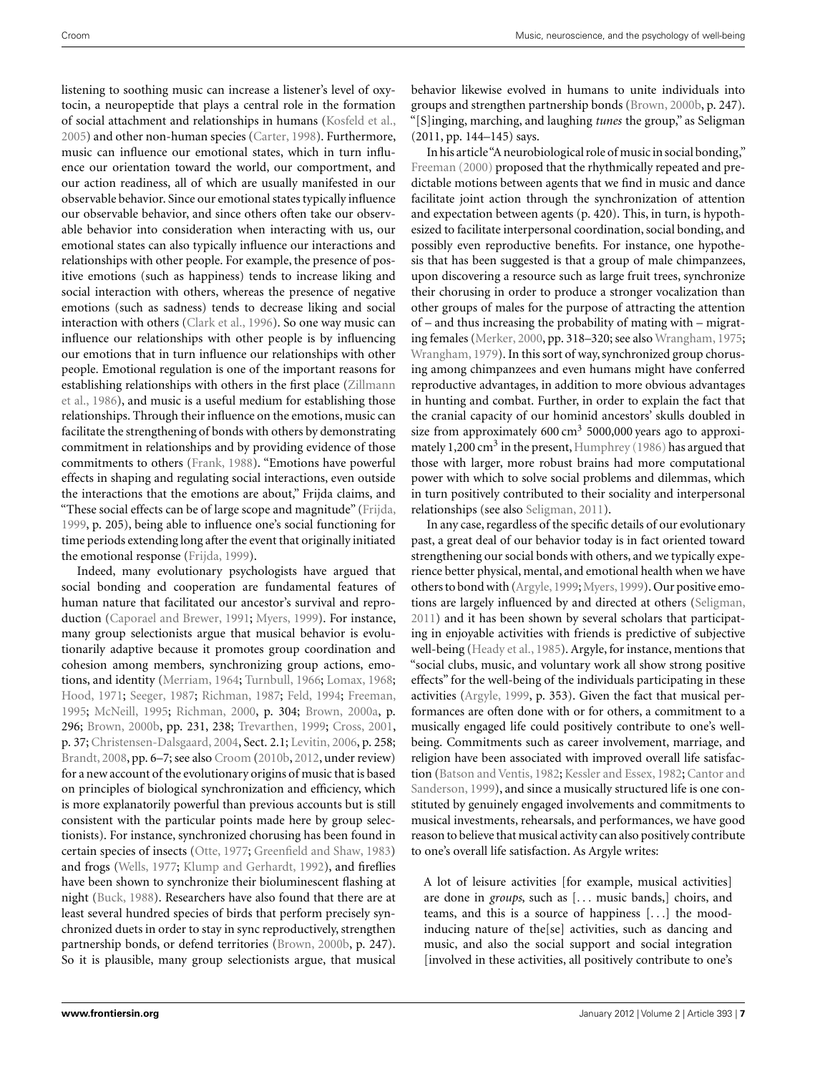listening to soothing music can increase a listener's level of oxytocin, a neuropeptide that plays a central role in the formation of social attachment and relationships in humans [\(Kosfeld et al.,](#page-12-0) [2005\)](#page-12-0) and other non-human species [\(Carter](#page-10-0), [1998](#page-10-0)). Furthermore, music can influence our emotional states, which in turn influence our orientation toward the world, our comportment, and our action readiness, all of which are usually manifested in our observable behavior. Since our emotional states typically influence our observable behavior, and since others often take our observable behavior into consideration when interacting with us, our emotional states can also typically influence our interactions and relationships with other people. For example, the presence of positive emotions (such as happiness) tends to increase liking and social interaction with others, whereas the presence of negative emotions (such as sadness) tends to decrease liking and social interaction with others [\(Clark et al., 1996](#page-11-0)). So one way music can influence our relationships with other people is by influencing our emotions that in turn influence our relationships with other people. Emotional regulation is one of the important reasons for esta[blishing relationships with others in the first place \(](#page-14-0)Zillmann et al., [1986](#page-14-0)), and music is a useful medium for establishing those relationships. Through their influence on the emotions, music can facilitate the strengthening of bonds with others by demonstrating commitment in relationships and by providing evidence of those commitments to others [\(Frank, 1988\)](#page-11-0). "Emotions have powerful effects in shaping and regulating social interactions, even outside the interactions that the emotions are about," Frijda claims, and "These social effects can be of large scope and magnitude" [\(Frijda,](#page-11-0) [1999,](#page-11-0) p. 205), being able to influence one's social functioning for time periods extending long after the event that originally initiated the emotional response [\(Frijda, 1999\)](#page-11-0).

Indeed, many evolutionary psychologists have argued that social bonding and cooperation are fundamental features of human nature that facilitated our ancestor's survival and reproduction [\(Caporael and Brewer](#page-10-0), [1991](#page-10-0); [Myers](#page-12-0), [1999\)](#page-12-0). For instance, many group selectionists argue that musical behavior is evolutionarily adaptive because it promotes group coordination and cohesion among members, synchronizing group actions, emotions, and identity [\(Merriam, 1964](#page-12-0); [Turnbull](#page-13-0), [1966;](#page-13-0) [Lomax](#page-12-0), [1968;](#page-12-0) [Hood](#page-12-0), [1971;](#page-12-0) [Seeger](#page-13-0), [1987;](#page-13-0) [Richman](#page-13-0), [1987;](#page-13-0) [Feld](#page-11-0), [1994](#page-11-0); [Freeman,](#page-11-0) [1995;](#page-11-0) [McNeill, 1995](#page-12-0); [Richman, 2000,](#page-13-0) p. 304; [Brown, 2000a,](#page-10-0) p. 296; [Brown, 2000b,](#page-10-0) pp. 231, 238; [Trevarthen](#page-13-0), [1999](#page-13-0); [Cross, 2001,](#page-11-0) p. 37; [Christensen-Dalsgaard, 2004,](#page-11-0) Sect. 2.1; [Levitin](#page-12-0), [2006](#page-12-0), p. 258; [Brandt, 2008,](#page-10-0) pp. 6–7; see also [Croom](#page-11-0) [\(2010b,](#page-11-0) [2012,](#page-11-0) under review) for a new account of the evolutionary origins of music that is based on principles of biological synchronization and efficiency, which is more explanatorily powerful than previous accounts but is still consistent with the particular points made here by group selectionists). For instance, synchronized chorusing has been found in certain species of insects [\(Otte, 1977](#page-12-0); [Greenfield and Shaw, 1983](#page-11-0)) and frogs [\(Wells](#page-13-0), [1977](#page-13-0); [Klump and Gerhardt](#page-12-0), [1992](#page-12-0)), and fireflies have been shown to synchronize their bioluminescent flashing at night [\(Buck, 1988](#page-10-0)). Researchers have also found that there are at least several hundred species of birds that perform precisely synchronized duets in order to stay in sync reproductively, strengthen partnership bonds, or defend territories [\(Brown, 2000b,](#page-10-0) p. 247). So it is plausible, many group selectionists argue, that musical behavior likewise evolved in humans to unite individuals into groups and strengthen partnership bonds [\(Brown](#page-10-0), [2000b](#page-10-0), p. 247). "[S]inging, marching, and laughing *tunes* the group," as Seligman (2011, pp. 144–145) says.

In his article"A neurobiological role of music in social bonding," [Freeman](#page-11-0) [\(2000](#page-11-0)) proposed that the rhythmically repeated and predictable motions between agents that we find in music and dance facilitate joint action through the synchronization of attention and expectation between agents (p. 420). This, in turn, is hypothesized to facilitate interpersonal coordination, social bonding, and possibly even reproductive benefits. For instance, one hypothesis that has been suggested is that a group of male chimpanzees, upon discovering a resource such as large fruit trees, synchronize their chorusing in order to produce a stronger vocalization than other groups of males for the purpose of attracting the attention of – and thus increasing the probability of mating with – migrating females [\(Merker](#page-12-0), [2000](#page-12-0), pp. 318–320; see also [Wrangham, 1975;](#page-13-0) [Wrangham, 1979](#page-13-0)). In this sort of way, synchronized group chorusing among chimpanzees and even humans might have conferred reproductive advantages, in addition to more obvious advantages in hunting and combat. Further, in order to explain the fact that the cranial capacity of our hominid ancestors' skulls doubled in size from approximately  $600 \text{ cm}^3$  5000,000 years ago to approxi-mately 1,200 cm<sup>3</sup> in the present, Humphrey [\(1986](#page-12-0)) has argued that those with larger, more robust brains had more computational power with which to solve social problems and dilemmas, which in turn positively contributed to their sociality and interpersonal relationships (see also [Seligman](#page-13-0), [2011](#page-13-0)).

In any case, regardless of the specific details of our evolutionary past, a great deal of our behavior today is in fact oriented toward strengthening our social bonds with others, and we typically experience better physical, mental, and emotional health when we have others to bond with [\(Argyle](#page-10-0),[1999;](#page-10-0)[Myers](#page-12-0),[1999\)](#page-12-0). Our positive emotions are largely influenced by and directed at others [\(Seligman,](#page-13-0) [2011\)](#page-13-0) and it has been shown by several scholars that participating in enjoyable activities with friends is predictive of subjective well-being [\(Heady et al., 1985\)](#page-12-0). Argyle, for instance, mentions that "social clubs, music, and voluntary work all show strong positive effects" for the well-being of the individuals participating in these activities [\(Argyle](#page-10-0), [1999,](#page-10-0) p. 353). Given the fact that musical performances are often done with or for others, a commitment to a musically engaged life could positively contribute to one's wellbeing. Commitments such as career involvement, marriage, and religion have been associated with improved overall life satisfaction [\(Batson and Ventis, 1982;](#page-10-0) [Kessler and Essex](#page-12-0)[,](#page-10-0) [1982](#page-12-0)[;](#page-10-0) Cantor and Sanderson, [1999](#page-10-0)), and since a musically structured life is one constituted by genuinely engaged involvements and commitments to musical investments, rehearsals, and performances, we have good reason to believe that musical activity can also positively contribute to one's overall life satisfaction. As Argyle writes:

A lot of leisure activities [for example, musical activities] are done in *groups*, such as [... music bands,] choirs, and teams, and this is a source of happiness [...] the moodinducing nature of the[se] activities, such as dancing and music, and also the social support and social integration [involved in these activities, all positively contribute to one's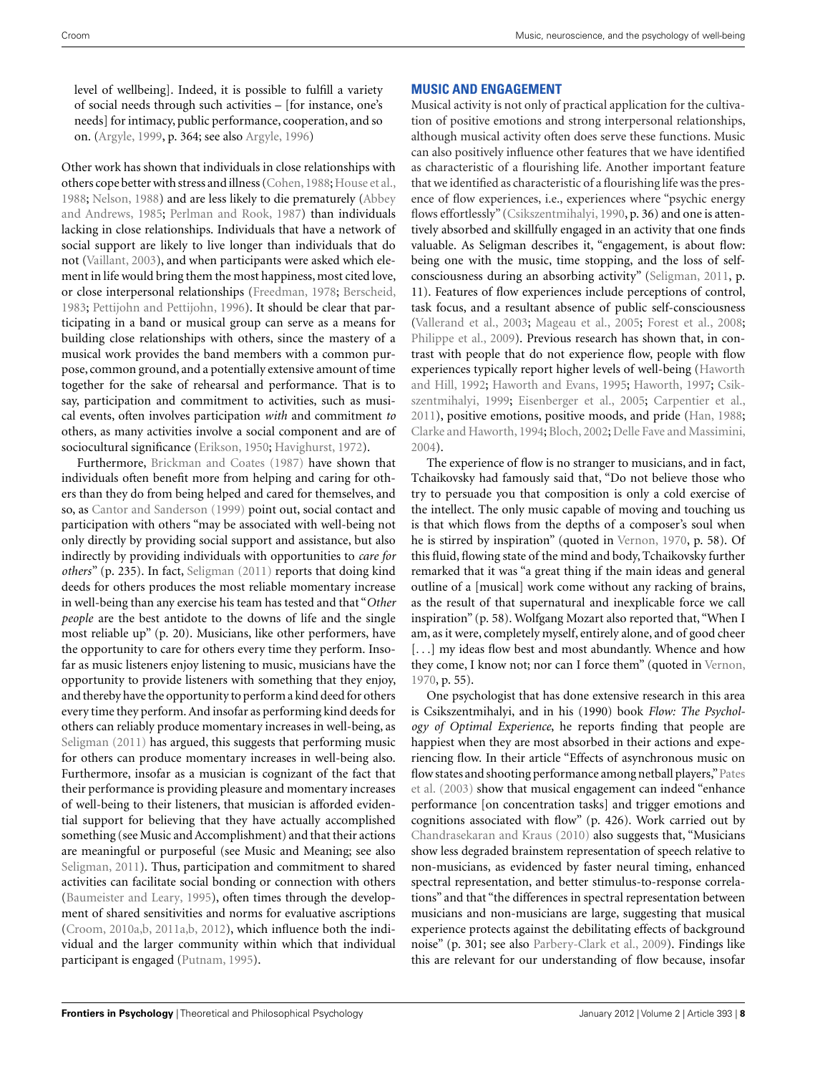level of wellbeing]. Indeed, it is possible to fulfill a variety of social needs through such activities – [for instance, one's needs] for intimacy, public performance, cooperation, and so on. [\(Argyle](#page-10-0), [1999,](#page-10-0) p. 364; see also [Argyle, 1996](#page-10-0))

Other work has shown that individuals in close relationships with others cope better with stress and illness (Cohen, 1988; [House et al.,](#page-12-0) [1988;](#page-12-0) [Nelson, 1988](#page-12-0)) and are less likely to die prematurely (Abbey and Andrews, [1985;](#page-10-0) [Perlman and Rook, 1987](#page-13-0)) than individuals lacking in close relationships. Individuals that have a network of social support are likely to live longer than individuals that do not [\(Vaillant, 2003](#page-13-0)), and when participants were asked which element in life would bring them the most happiness, most cited love, or close interpersonal relationships [\(Freedman, 1978](#page-11-0); [Berscheid,](#page-10-0) [1983;](#page-10-0) [Pettijohn and Pettijohn, 1996\)](#page-13-0). It should be clear that participating in a band or musical group can serve as a means for building close relationships with others, since the mastery of a musical work provides the band members with a common purpose, common ground, and a potentially extensive amount of time together for the sake of rehearsal and performance. That is to say, participation and commitment to activities, such as musical events, often involves participation *with* and commitment *to* others, as many activities involve a social component and are of sociocultural significance [\(Erikson](#page-11-0), [1950](#page-11-0); [Havighurst](#page-11-0), [1972](#page-11-0)).

Furthermore, [Brickman and Coates](#page-10-0) [\(1987\)](#page-10-0) have shown that individuals often benefit more from helping and caring for others than they do from being helped and cared for themselves, and so, as [Cantor and Sanderson](#page-10-0) [\(1999](#page-10-0)) point out, social contact and participation with others "may be associated with well-being not only directly by providing social support and assistance, but also indirectly by providing individuals with opportunities to *care for others*" (p. 235). In fact, [Seligman](#page-13-0) [\(2011](#page-13-0)) reports that doing kind deeds for others produces the most reliable momentary increase in well-being than any exercise his team has tested and that "*Other people* are the best antidote to the downs of life and the single most reliable up" (p. 20). Musicians, like other performers, have the opportunity to care for others every time they perform. Insofar as music listeners enjoy listening to music, musicians have the opportunity to provide listeners with something that they enjoy, and thereby have the opportunity to perform a kind deed for others every time they perform. And insofar as performing kind deeds for others can reliably produce momentary increases in well-being, as [Seligman](#page-13-0) [\(2011\)](#page-13-0) has argued, this suggests that performing music for others can produce momentary increases in well-being also. Furthermore, insofar as a musician is cognizant of the fact that their performance is providing pleasure and momentary increases of well-being to their listeners, that musician is afforded evidential support for believing that they have actually accomplished something (see Music and Accomplishment) and that their actions are meaningful or purposeful (see Music and Meaning; see also [Seligman](#page-13-0), [2011](#page-13-0)). Thus, participation and commitment to shared activities can facilitate social bonding or connection with others [\(Baumeister and Leary, 1995\)](#page-10-0), often times through the development of shared sensitivities and norms for evaluative ascriptions [\(Croom, 2010a,b, 2011a,b, 2012\)](#page-11-0), which influence both the individual and the larger community within which that individual participant is engaged [\(Putnam](#page-13-0), [1995\)](#page-13-0).

# **MUSIC AND ENGAGEMENT**

Musical activity is not only of practical application for the cultivation of positive emotions and strong interpersonal relationships, although musical activity often does serve these functions. Music can also positively influence other features that we have identified as characteristic of a flourishing life. Another important feature that we identified as characteristic of a flourishing life was the presence of flow experiences, i.e., experiences where "psychic energy flows effortlessly" [\(Csikszentmihalyi](#page-11-0), [1990,](#page-11-0) p. 36) and one is attentively absorbed and skillfully engaged in an activity that one finds valuable. As Seligman describes it, "engagement, is about flow: being one with the music, time stopping, and the loss of selfconsciousness during an absorbing activity" [\(Seligman](#page-13-0), [2011,](#page-13-0) p. 11). Features of flow experiences include perceptions of control, task focus, and a resultant absence of public self-consciousness [\(Vallerand et al., 2003](#page-13-0); [Mageau et al.](#page-12-0), [2005;](#page-12-0) [Forest et al., 2008;](#page-11-0) [Philippe et al., 2009\)](#page-13-0). Previous research has shown that, in contrast with people that do not experience flow, people with flow experie[nces](#page-11-0) [typically](#page-11-0) [report](#page-11-0) [higher](#page-11-0) [levels](#page-11-0) [of](#page-11-0) [well-being](#page-11-0) [\(](#page-11-0)Haworth and Hill, [1992](#page-11-0); [Haworth and Evans, 1995;](#page-11-0) [Haworth](#page-11-0), [1997;](#page-11-0) Csikszentmihalyi, [1999;](#page-11-0) [Eisenberger et al.](#page-11-0), [2005;](#page-11-0) [Carpentier et al.,](#page-10-0) [2011\)](#page-10-0), positive emotions, positive moods, and pride [\(Han, 1988;](#page-11-0) [Clarke and Haworth](#page-11-0), [1994](#page-11-0); [Bloch, 2002;](#page-10-0) [Delle Fave and Massimini,](#page-11-0) [2004\)](#page-11-0).

The experience of flow is no stranger to musicians, and in fact, Tchaikovsky had famously said that, "Do not believe those who try to persuade you that composition is only a cold exercise of the intellect. The only music capable of moving and touching us is that which flows from the depths of a composer's soul when he is stirred by inspiration" (quoted in [Vernon, 1970,](#page-13-0) p. 58). Of this fluid, flowing state of the mind and body, Tchaikovsky further remarked that it was "a great thing if the main ideas and general outline of a [musical] work come without any racking of brains, as the result of that supernatural and inexplicable force we call inspiration" (p. 58). Wolfgang Mozart also reported that, "When I am, as it were, completely myself, entirely alone, and of good cheer [...] my ideas flow best and most abundantly. Whence and how they come, I know not; nor can I force them" (quoted in [Vernon,](#page-13-0) [1970,](#page-13-0) p. 55).

One psychologist that has done extensive research in this area is Csikszentmihalyi, and in his (1990) book *Flow: The Psychology of Optimal Experience*, he reports finding that people are happiest when they are most absorbed in their actions and experiencing flow. In their article "Effects of asynchronous music on flow [states and shooting performance among netball players,"](#page-13-0)Pates et al. [\(2003\)](#page-13-0) show that musical engagement can indeed "enhance performance [on concentration tasks] and trigger emotions and cognitions associated with flow" (p. 426). Work carried out by [Chandrasekaran and Kraus](#page-10-0) [\(2010\)](#page-10-0) also suggests that, "Musicians show less degraded brainstem representation of speech relative to non-musicians, as evidenced by faster neural timing, enhanced spectral representation, and better stimulus-to-response correlations" and that "the differences in spectral representation between musicians and non-musicians are large, suggesting that musical experience protects against the debilitating effects of background noise" (p. 301; see also [Parbery-Clark et al., 2009\)](#page-13-0). Findings like this are relevant for our understanding of flow because, insofar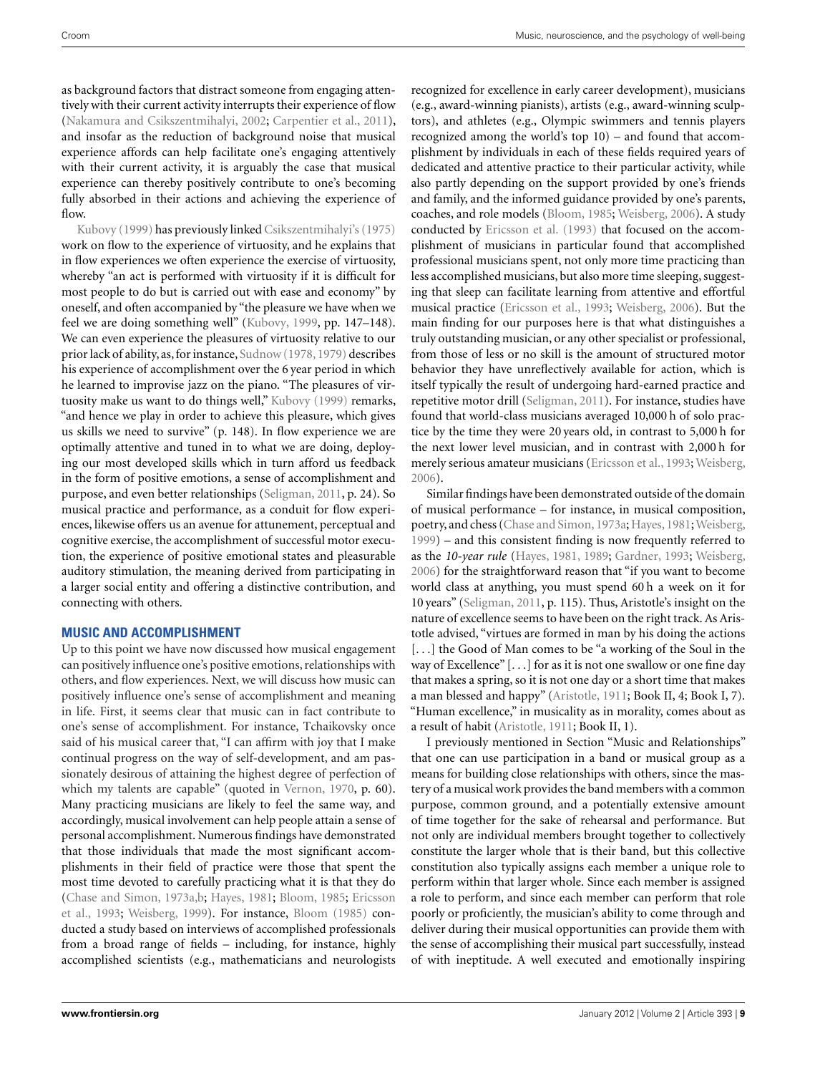as background factors that distract someone from engaging attentively with their current activity interrupts their experience of flow [\(Nakamura and Csikszentmihalyi, 2002](#page-12-0); [Carpentier et al., 2011](#page-10-0)), and insofar as the reduction of background noise that musical experience affords can help facilitate one's engaging attentively with their current activity, it is arguably the case that musical experience can thereby positively contribute to one's becoming fully absorbed in their actions and achieving the experience of [flow.](#page-12-0)

Kubovy [\(1999](#page-12-0)) has previously linked [Csikszentmihalyi's](#page-14-0) [\(1975](#page-14-0)) work on flow to the experience of virtuosity, and he explains that in flow experiences we often experience the exercise of virtuosity, whereby "an act is performed with virtuosity if it is difficult for most people to do but is carried out with ease and economy" by oneself, and often accompanied by "the pleasure we have when we feel we are doing something well" [\(Kubovy](#page-12-0), [1999](#page-12-0), pp. 147–148). We can even experience the pleasures of virtuosity relative to our prior lack of ability, as,for instance, [Sudnow](#page-13-0) [\(1978, 1979](#page-13-0)) describes his experience of accomplishment over the 6 year period in which he learned to improvise jazz on the piano. "The pleasures of virtuosity make us want to do things well," [Kubovy](#page-12-0) [\(1999](#page-12-0)) remarks, "and hence we play in order to achieve this pleasure, which gives us skills we need to survive" (p. 148). In flow experience we are optimally attentive and tuned in to what we are doing, deploying our most developed skills which in turn afford us feedback in the form of positive emotions, a sense of accomplishment and purpose, and even better relationships [\(Seligman, 2011](#page-13-0), p. 24). So musical practice and performance, as a conduit for flow experiences, likewise offers us an avenue for attunement, perceptual and cognitive exercise, the accomplishment of successful motor execution, the experience of positive emotional states and pleasurable auditory stimulation, the meaning derived from participating in a larger social entity and offering a distinctive contribution, and connecting with others.

## **MUSIC AND ACCOMPLISHMENT**

Up to this point we have now discussed how musical engagement can positively influence one's positive emotions, relationships with others, and flow experiences. Next, we will discuss how music can positively influence one's sense of accomplishment and meaning in life. First, it seems clear that music can in fact contribute to one's sense of accomplishment. For instance, Tchaikovsky once said of his musical career that, "I can affirm with joy that I make continual progress on the way of self-development, and am passionately desirous of attaining the highest degree of perfection of which my talents are capable" (quoted in [Vernon, 1970](#page-13-0), p. 60). Many practicing musicians are likely to feel the same way, and accordingly, musical involvement can help people attain a sense of personal accomplishment. Numerous findings have demonstrated that those individuals that made the most significant accomplishments in their field of practice were those that spent the most time devoted to carefully practicing what it is that they do [\(Chase and Simon, 1973a,b;](#page-11-0) [Hayes](#page-11-0), [1981](#page-11-0); [Bloom, 1985;](#page-10-0) Ericsson et al., [1993;](#page-11-0) [Weisberg](#page-13-0), [1999](#page-13-0)). For instance, [Bloom](#page-10-0) [\(1985](#page-10-0)) conducted a study based on interviews of accomplished professionals from a broad range of fields – including, for instance, highly accomplished scientists (e.g., mathematicians and neurologists

recognized for excellence in early career development), musicians (e.g., award-winning pianists), artists (e.g., award-winning sculptors), and athletes (e.g., Olympic swimmers and tennis players recognized among the world's top 10) – and found that accomplishment by individuals in each of these fields required years of dedicated and attentive practice to their particular activity, while also partly depending on the support provided by one's friends and family, and the informed guidance provided by one's parents, coaches, and role models [\(Bloom](#page-10-0), [1985;](#page-10-0) [Weisberg](#page-13-0), [2006\)](#page-13-0). A study conducted by [Ericsson et al.](#page-11-0) [\(1993\)](#page-11-0) that focused on the accomplishment of musicians in particular found that accomplished professional musicians spent, not only more time practicing than less accomplished musicians, but also more time sleeping, suggesting that sleep can facilitate learning from attentive and effortful musical practice [\(Ericsson et al.](#page-11-0), [1993;](#page-11-0) [Weisberg](#page-13-0), [2006](#page-13-0)). But the main finding for our purposes here is that what distinguishes a truly outstanding musician, or any other specialist or professional, from those of less or no skill is the amount of structured motor behavior they have unreflectively available for action, which is itself typically the result of undergoing hard-earned practice and repetitive motor drill [\(Seligman, 2011\)](#page-13-0). For instance, studies have found that world-class musicians averaged 10,000 h of solo practice by the time they were 20 years old, in contrast to 5,000 h for the next lower level musician, and in contrast with 2,000 h for merely serious amateur musicians [\(Ericsson et al., 1993;](#page-11-0) [Weisberg,](#page-13-0) [2006\)](#page-13-0).

Similar findings have been demonstrated outside of the domain of musical performance – for instance, in musical composition, poetry, and chess [\(Chase and Simon](#page-11-0), [1973a](#page-11-0); [Hayes](#page-11-0), [1981;](#page-11-0) [Weisberg,](#page-13-0) [1999\)](#page-13-0) – and this consistent finding is now frequently referred to as the *10-year rule* [\(Hayes](#page-11-0), [1981,](#page-11-0) [1989;](#page-12-0) [Gardner, 1993;](#page-11-0) [Weisberg,](#page-13-0) [2006\)](#page-13-0) for the straightforward reason that "if you want to become world class at anything, you must spend 60 h a week on it for 10 years" [\(Seligman](#page-13-0), [2011](#page-13-0), p. 115). Thus, Aristotle's insight on the nature of excellence seems to have been on the right track. As Aristotle advised, "virtues are formed in man by his doing the actions [...] the Good of Man comes to be "a working of the Soul in the way of Excellence" [...] for as it is not one swallow or one fine day that makes a spring, so it is not one day or a short time that makes a man blessed and happy" [\(Aristotle](#page-10-0), [1911;](#page-10-0) Book II, 4; Book I, 7). "Human excellence," in musicality as in morality, comes about as a result of habit [\(Aristotle, 1911;](#page-10-0) Book II, 1).

I previously mentioned in Section "Music and Relationships" that one can use participation in a band or musical group as a means for building close relationships with others, since the mastery of a musical work provides the band members with a common purpose, common ground, and a potentially extensive amount of time together for the sake of rehearsal and performance. But not only are individual members brought together to collectively constitute the larger whole that is their band, but this collective constitution also typically assigns each member a unique role to perform within that larger whole. Since each member is assigned a role to perform, and since each member can perform that role poorly or proficiently, the musician's ability to come through and deliver during their musical opportunities can provide them with the sense of accomplishing their musical part successfully, instead of with ineptitude. A well executed and emotionally inspiring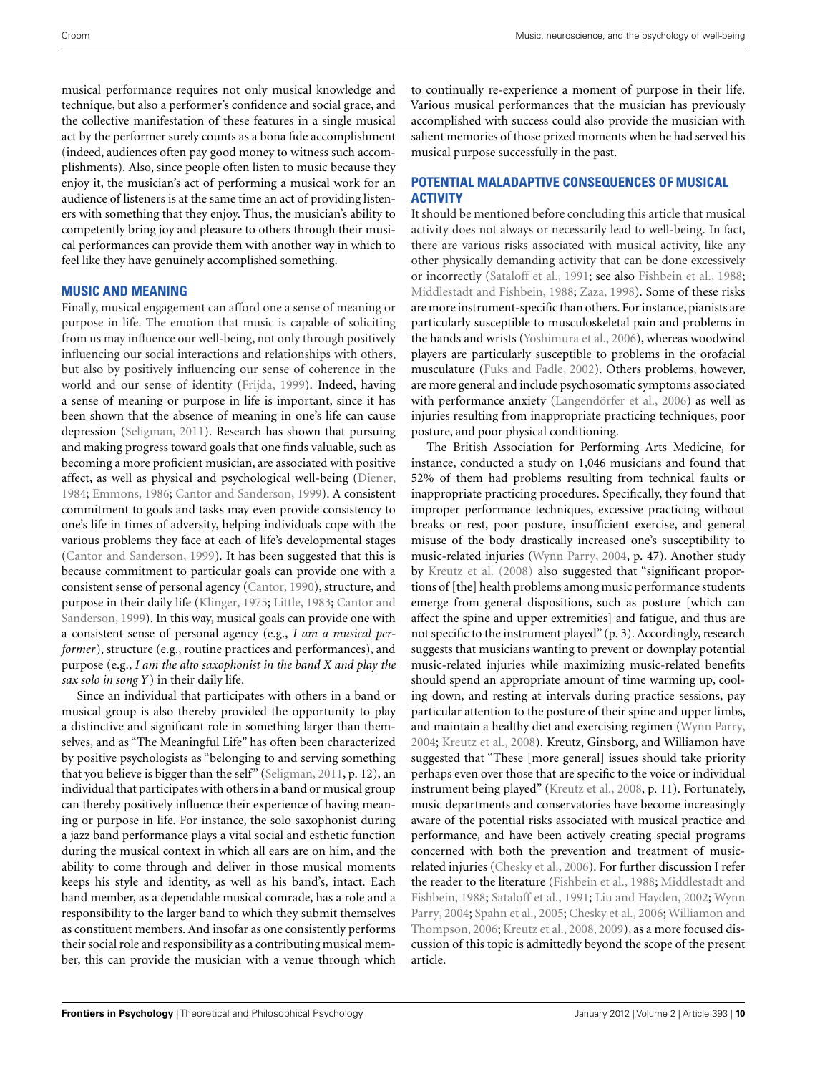musical performance requires not only musical knowledge and technique, but also a performer's confidence and social grace, and the collective manifestation of these features in a single musical act by the performer surely counts as a bona fide accomplishment (indeed, audiences often pay good money to witness such accomplishments). Also, since people often listen to music because they enjoy it, the musician's act of performing a musical work for an audience of listeners is at the same time an act of providing listeners with something that they enjoy. Thus, the musician's ability to competently bring joy and pleasure to others through their musical performances can provide them with another way in which to feel like they have genuinely accomplished something.

## **MUSIC AND MEANING**

Finally, musical engagement can afford one a sense of meaning or purpose in life. The emotion that music is capable of soliciting from us may influence our well-being, not only through positively influencing our social interactions and relationships with others, but also by positively influencing our sense of coherence in the world and our sense of identity [\(Frijda, 1999\)](#page-11-0). Indeed, having a sense of meaning or purpose in life is important, since it has been shown that the absence of meaning in one's life can cause depression [\(Seligman](#page-13-0), [2011\)](#page-13-0). Research has shown that pursuing and making progress toward goals that one finds valuable, such as becoming a more proficient musician, are associated with positive affect, as well as physical and psychological well-being [\(Diener,](#page-11-0) [1984;](#page-11-0) [Emmons](#page-11-0), [1986;](#page-11-0) [Cantor and Sanderson, 1999](#page-10-0)). A consistent commitment to goals and tasks may even provide consistency to one's life in times of adversity, helping individuals cope with the various problems they face at each of life's developmental stages [\(Cantor and Sanderson](#page-10-0), [1999](#page-10-0)). It has been suggested that this is because commitment to particular goals can provide one with a consistent sense of personal agency [\(Cantor, 1990\)](#page-10-0), structure, and purpose i[n their daily life](#page-10-0) [\(Klinger](#page-12-0)[,](#page-10-0) [1975](#page-12-0)[;](#page-10-0) [Little, 1983](#page-12-0); Cantor and Sanderson, [1999](#page-10-0)). In this way, musical goals can provide one with a consistent sense of personal agency (e.g., *I am a musical performer*), structure (e.g., routine practices and performances), and purpose (e.g., *I am the alto saxophonist in the band X and play the sax solo in song Y* ) in their daily life.

Since an individual that participates with others in a band or musical group is also thereby provided the opportunity to play a distinctive and significant role in something larger than themselves, and as "The Meaningful Life" has often been characterized by positive psychologists as "belonging to and serving something that you believe is bigger than the self" [\(Seligman, 2011,](#page-13-0) p. 12), an individual that participates with others in a band or musical group can thereby positively influence their experience of having meaning or purpose in life. For instance, the solo saxophonist during a jazz band performance plays a vital social and esthetic function during the musical context in which all ears are on him, and the ability to come through and deliver in those musical moments keeps his style and identity, as well as his band's, intact. Each band member, as a dependable musical comrade, has a role and a responsibility to the larger band to which they submit themselves as constituent members. And insofar as one consistently performs their social role and responsibility as a contributing musical member, this can provide the musician with a venue through which

to continually re-experience a moment of purpose in their life. Various musical performances that the musician has previously accomplished with success could also provide the musician with salient memories of those prized moments when he had served his musical purpose successfully in the past.

## **POTENTIAL MALADAPTIVE CONSEQUENCES OF MUSICAL ACTIVITY**

It should be mentioned before concluding this article that musical activity does not always or necessarily lead to well-being. In fact, there are various risks associated with musical activity, like any other physically demanding activity that can be done excessively or incorrectly [\(Sataloff et al., 1991;](#page-13-0) see also [Fishbein et al., 1988;](#page-11-0) [Middlestadt and Fishbein, 1988](#page-12-0); [Zaza, 1998](#page-14-0)). Some of these risks are more instrument-specific than others. For instance, pianists are particularly susceptible to musculoskeletal pain and problems in the hands and wrists [\(Yoshimura et al.](#page-13-0), [2006\)](#page-13-0), whereas woodwind players are particularly susceptible to problems in the orofacial musculature [\(Fuks and Fadle](#page-11-0), [2002\)](#page-11-0). Others problems, however, are more general and include psychosomatic symptoms associated with performance anxiety [\(Langendörfer et al.](#page-12-0), [2006\)](#page-12-0) as well as injuries resulting from inappropriate practicing techniques, poor posture, and poor physical conditioning.

The British Association for Performing Arts Medicine, for instance, conducted a study on 1,046 musicians and found that 52% of them had problems resulting from technical faults or inappropriate practicing procedures. Specifically, they found that improper performance techniques, excessive practicing without breaks or rest, poor posture, insufficient exercise, and general misuse of the body drastically increased one's susceptibility to music-related injuries [\(Wynn Parry](#page-13-0), [2004](#page-13-0), p. 47). Another study by [Kreutz et al.](#page-12-0) [\(2008\)](#page-12-0) also suggested that "significant proportions of [the] health problems among music performance students emerge from general dispositions, such as posture [which can affect the spine and upper extremities] and fatigue, and thus are not specific to the instrument played" (p. 3). Accordingly, research suggests that musicians wanting to prevent or downplay potential music-related injuries while maximizing music-related benefits should spend an appropriate amount of time warming up, cooling down, and resting at intervals during practice sessions, pay particular attention to the posture of their spine and upper limbs, and maintain a healthy diet and exercising regimen [\(Wynn Parry,](#page-13-0) [2004;](#page-13-0) [Kreutz et al.](#page-12-0), [2008](#page-12-0)). Kreutz, Ginsborg, and Williamon have suggested that "These [more general] issues should take priority perhaps even over those that are specific to the voice or individual instrument being played" [\(Kreutz et al.](#page-12-0), [2008,](#page-12-0) p. 11). Fortunately, music departments and conservatories have become increasingly aware of the potential risks associated with musical practice and performance, and have been actively creating special programs concerned with both the prevention and treatment of musicrelated injuries [\(Chesky et al.](#page-11-0), [2006](#page-11-0)). For further discussion I refer the read[er](#page-12-0) [to](#page-12-0) [the](#page-12-0) [literature](#page-12-0) [\(Fishbein et al.](#page-11-0)[,](#page-12-0) [1988](#page-11-0)[;](#page-12-0) Middlestadt and Fishbein, [1988](#page-12-0); [Sataloff et al.](#page-13-0), [1991;](#page-13-0) [Liu and Hayden](#page-12-0)[,](#page-13-0) [2002;](#page-12-0) Wynn Parry, [2004](#page-13-0); [Spahn et al., 2005;](#page-13-0) [Chesky et al.](#page-11-0)[,](#page-13-0) [2006](#page-11-0)[;](#page-13-0) Williamon and Thompson, [2006](#page-13-0); [Kreutz et al.](#page-12-0), [2008](#page-12-0), [2009](#page-12-0)), as a more focused discussion of this topic is admittedly beyond the scope of the present article.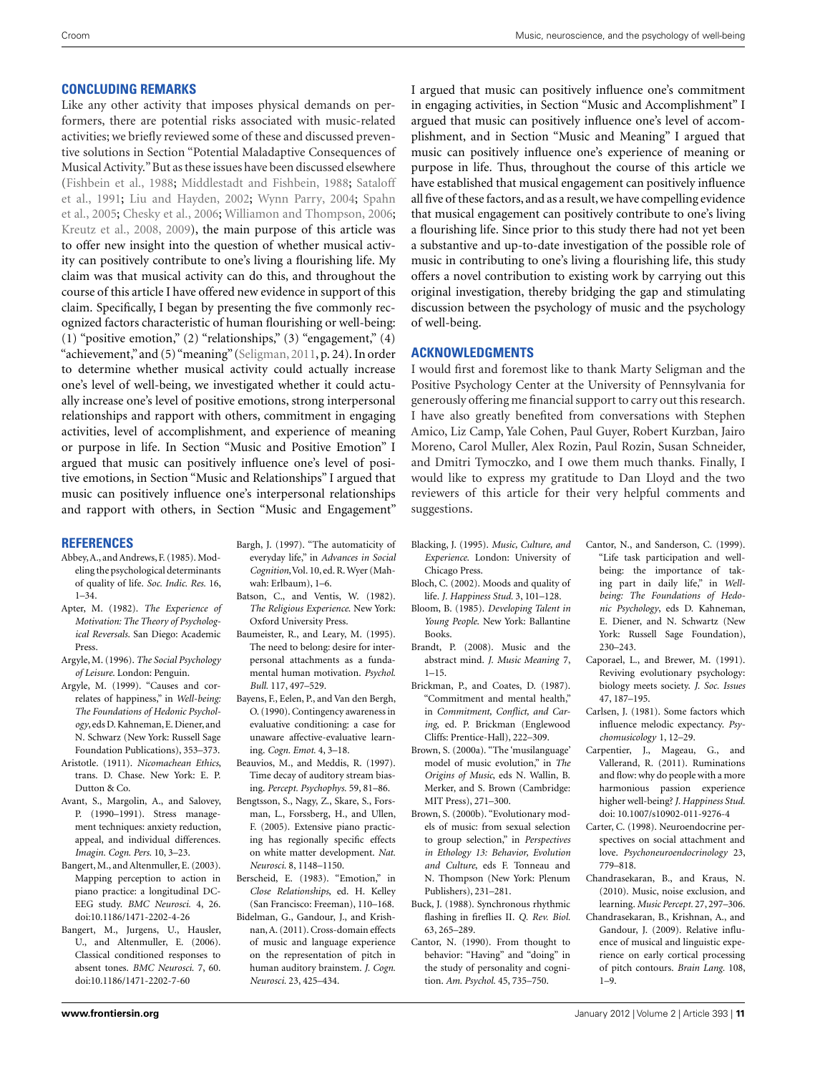### <span id="page-10-0"></span>**CONCLUDING REMARKS**

Like any other activity that imposes physical demands on performers, there are potential risks associated with music-related activities; we briefly reviewed some of these and discussed preventive solutions in Section "Potential Maladaptive Consequences of Musical Activity."But as these issues have been discussed elsewhere [\(Fishbein et al.](#page-11-0), [1988](#page-11-0); [Middlestadt and Fishbein](#page-12-0)[,](#page-13-0) [1988](#page-12-0)[;](#page-13-0) Sataloff et al., [1991](#page-13-0); [Liu and Hayden, 2002](#page-12-0); [Wynn Parry, 2004;](#page-13-0) Spahn et al., [2005](#page-13-0); [Chesky et al., 2006](#page-11-0); [Williamon and Thompson](#page-13-0), [2006;](#page-13-0) [Kreutz et al.](#page-12-0), [2008, 2009\)](#page-12-0), the main purpose of this article was to offer new insight into the question of whether musical activity can positively contribute to one's living a flourishing life. My claim was that musical activity can do this, and throughout the course of this article I have offered new evidence in support of this claim. Specifically, I began by presenting the five commonly recognized factors characteristic of human flourishing or well-being: (1) "positive emotion," (2) "relationships," (3) "engagement,"  $(4)$ "achievement,"and (5)"meaning" [\(Seligman](#page-13-0), [2011,](#page-13-0) p. 24). In order to determine whether musical activity could actually increase one's level of well-being, we investigated whether it could actually increase one's level of positive emotions, strong interpersonal relationships and rapport with others, commitment in engaging activities, level of accomplishment, and experience of meaning or purpose in life. In Section "Music and Positive Emotion" I argued that music can positively influence one's level of positive emotions, in Section "Music and Relationships" I argued that music can positively influence one's interpersonal relationships and rapport with others, in Section "Music and Engagement"

#### **REFERENCES**

- Abbey,A., and Andrews, F. (1985). Modeling the psychological determinants of quality of life. *Soc. Indic. Res.* 16, 1–34.
- Apter, M. (1982). *The Experience of Motivation: The Theory of Psychological Reversals*. San Diego: Academic Press.
- Argyle, M. (1996). *The Social Psychology of Leisure*. London: Penguin.
- Argyle, M. (1999). "Causes and correlates of happiness," in *Well-being: The Foundations of Hedonic Psychology*, eds D. Kahneman, E. Diener, and N. Schwarz (New York: Russell Sage Foundation Publications), 353–373.
- Aristotle. (1911). *Nicomachean Ethics*, trans. D. Chase. New York: E. P. Dutton & Co.
- Avant, S., Margolin, A., and Salovey, P. (1990–1991). Stress management techniques: anxiety reduction, appeal, and individual differences. *Imagin. Cogn. Pers.* 10, 3–23.
- Bangert, M., and Altenmuller, E. (2003). Mapping perception to action in piano practice: a longitudinal DC-EEG study. *BMC Neurosci.* 4, 26. doi[:10.1186/1471-2202-4-26](http://dx.doi.org/10.1186/1471-2202-4-26)
- Bangert, M., Jurgens, U., Hausler, U., and Altenmuller, E. (2006). Classical conditioned responses to absent tones. *BMC Neurosci.* 7, 60. doi[:10.1186/1471-2202-7-60](http://dx.doi.org/10.1186/1471-2202-7-60)
- Bargh, J. (1997). "The automaticity of everyday life," in *Advances in Social* Cognition, Vol. 10, ed. R. Wyer (Mahwah: Erlbaum), 1–6.
- Batson, C., and Ventis, W. (1982). *The Religious Experience*. New York: Oxford University Press.
- Baumeister, R., and Leary, M. (1995). The need to belong: desire for interpersonal attachments as a fundamental human motivation. *Psychol. Bull.* 117, 497–529.
- Bayens, F., Eelen, P., and Van den Bergh, O. (1990). Contingency awareness in evaluative conditioning: a case for unaware affective-evaluative learning. *Cogn. Emot.* 4, 3–18.
- Beauvios, M., and Meddis, R. (1997). Time decay of auditory stream biasing. *Percept. Psychophys.* 59, 81–86.
- Bengtsson, S., Nagy, Z., Skare, S., Forsman, L., Forssberg, H., and Ullen, F. (2005). Extensive piano practicing has regionally specific effects on white matter development. *Nat. Neurosci.* 8, 1148–1150.
- Berscheid, E. (1983). "Emotion," in *Close Relationships*, ed. H. Kelley (San Francisco: Freeman), 110–168.
- Bidelman, G., Gandour, J., and Krishnan,A. (2011). Cross-domain effects of music and language experience on the representation of pitch in human auditory brainstem. *J. Cogn. Neurosci.* 23, 425–434.

I argued that music can positively influence one's commitment in engaging activities, in Section "Music and Accomplishment" I argued that music can positively influence one's level of accomplishment, and in Section "Music and Meaning" I argued that music can positively influence one's experience of meaning or purpose in life. Thus, throughout the course of this article we have established that musical engagement can positively influence all five of these factors, and as a result,we have compelling evidence that musical engagement can positively contribute to one's living a flourishing life. Since prior to this study there had not yet been a substantive and up-to-date investigation of the possible role of music in contributing to one's living a flourishing life, this study offers a novel contribution to existing work by carrying out this original investigation, thereby bridging the gap and stimulating discussion between the psychology of music and the psychology of well-being.

#### **ACKNOWLEDGMENTS**

I would first and foremost like to thank Marty Seligman and the Positive Psychology Center at the University of Pennsylvania for generously offering me financial support to carry out this research. I have also greatly benefited from conversations with Stephen Amico, Liz Camp, Yale Cohen, Paul Guyer, Robert Kurzban, Jairo Moreno, Carol Muller, Alex Rozin, Paul Rozin, Susan Schneider, and Dmitri Tymoczko, and I owe them much thanks. Finally, I would like to express my gratitude to Dan Lloyd and the two reviewers of this article for their very helpful comments and suggestions.

- Blacking, J. (1995). *Music, Culture, and Experience*. London: University of Chicago Press.
- Bloch, C. (2002). Moods and quality of life. *J. Happiness Stud.* 3, 101–128.
- Bloom, B. (1985). *Developing Talent in Young People*. New York: Ballantine Books.
- Brandt, P. (2008). Music and the abstract mind. *J. Music Meaning* 7, 1–15.
- Brickman, P., and Coates, D. (1987). "Commitment and mental health," in *Commitment, Conflict, and Caring*, ed. P. Brickman (Englewood Cliffs: Prentice-Hall), 222–309.
- Brown, S. (2000a). "The 'musilanguage' model of music evolution," in *The Origins of Music*, eds N. Wallin, B. Merker, and S. Brown (Cambridge: MIT Press), 271–300.
- Brown, S. (2000b). "Evolutionary models of music: from sexual selection to group selection," in *Perspectives in Ethology 13: Behavior, Evolution and Culture*, eds F. Tonneau and N. Thompson (New York: Plenum Publishers), 231–281.
- Buck, J. (1988). Synchronous rhythmic flashing in fireflies II. *Q. Rev. Biol.* 63, 265–289.
- Cantor, N. (1990). From thought to behavior: "Having" and "doing" in the study of personality and cognition. *Am. Psychol.* 45, 735–750.
- Cantor, N., and Sanderson, C. (1999). "Life task participation and wellbeing: the importance of taking part in daily life," in *Wellbeing: The Foundations of Hedonic Psychology*, eds D. Kahneman, E. Diener, and N. Schwartz (New York: Russell Sage Foundation), 230–243.
- Caporael, L., and Brewer, M. (1991). Reviving evolutionary psychology: biology meets society. *J. Soc. Issues* 47, 187–195.
- Carlsen, J. (1981). Some factors which influence melodic expectancy. *Psychomusicology* 1, 12–29.
- Carpentier, J., Mageau, G., and Vallerand, R. (2011). Ruminations and flow: why do people with a more harmonious passion experience higher well-being? *J. Happiness Stud.* doi: 10.1007/s10902-011-9276-4
- Carter, C. (1998). Neuroendocrine perspectives on social attachment and love. *Psychoneuroendocrinology* 23, 779–818.
- Chandrasekaran, B., and Kraus, N. (2010). Music, noise exclusion, and learning. *Music Percept.* 27, 297–306.
- Chandrasekaran, B., Krishnan, A., and Gandour, J. (2009). Relative influence of musical and linguistic experience on early cortical processing of pitch contours. *Brain Lang.* 108, 1–9.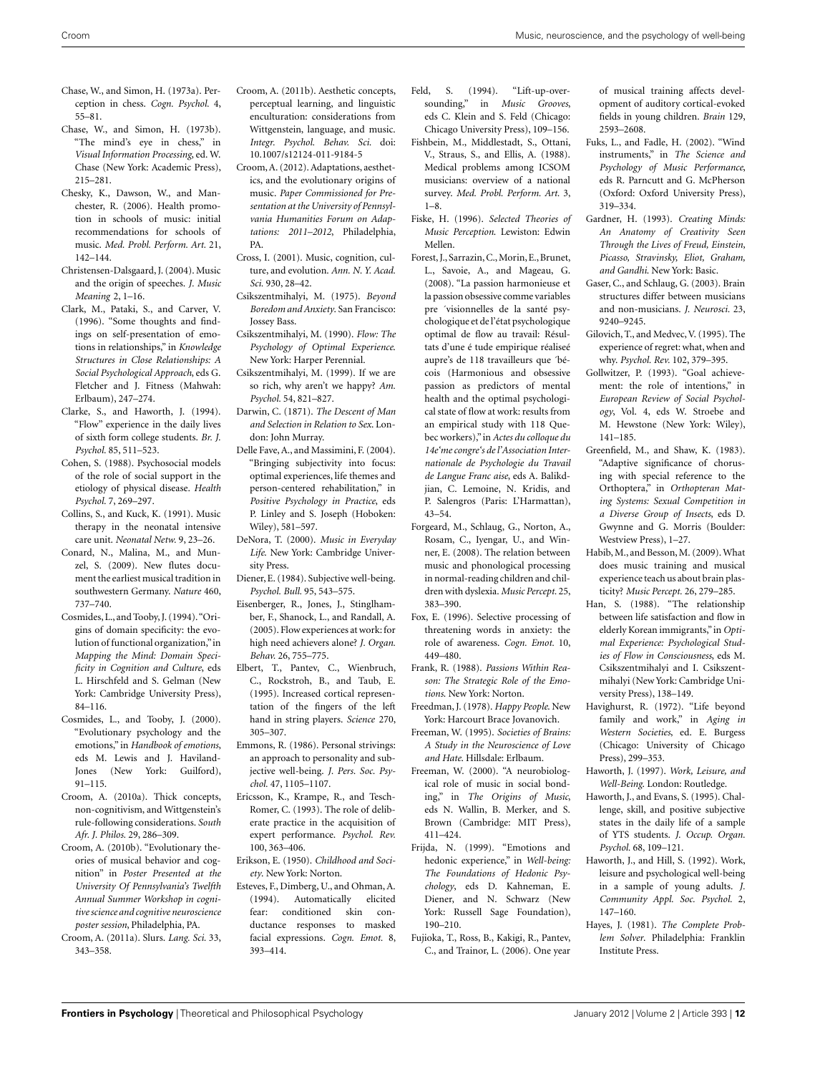- <span id="page-11-0"></span>Chase, W., and Simon, H. (1973a). Perception in chess. *Cogn. Psychol.* 4, 55–81.
- Chase, W., and Simon, H. (1973b). "The mind's eye in chess," in *Visual Information Processing*, ed. W. Chase (New York: Academic Press), 215–281.
- Chesky, K., Dawson, W., and Manchester, R. (2006). Health promotion in schools of music: initial recommendations for schools of music. *Med. Probl. Perform. Art.* 21, 142–144.
- Christensen-Dalsgaard, J. (2004). Music and the origin of speeches. *J. Music Meaning* 2, 1–16.
- Clark, M., Pataki, S., and Carver, V. (1996). "Some thoughts and findings on self-presentation of emotions in relationships," in *Knowledge Structures in Close Relationships: A Social Psychological Approach*, eds G. Fletcher and J. Fitness (Mahwah: Erlbaum), 247–274.
- Clarke, S., and Haworth, J. (1994). "Flow" experience in the daily lives of sixth form college students. *Br. J. Psychol.* 85, 511–523.
- Cohen, S. (1988). Psychosocial models of the role of social support in the etiology of physical disease. *Health Psychol.* 7, 269–297.
- Collins, S., and Kuck, K. (1991). Music therapy in the neonatal intensive care unit. *Neonatal Netw.* 9, 23–26.
- Conard, N., Malina, M., and Munzel, S. (2009). New flutes document the earliest musical tradition in southwestern Germany. *Nature* 460, 737–740.
- Cosmides, L., and Tooby, J. (1994)."Origins of domain specificity: the evolution of functional organization,"in *Mapping the Mind: Domain Specificity in Cognition and Culture*, eds L. Hirschfeld and S. Gelman (New York: Cambridge University Press), 84–116.
- Cosmides, L., and Tooby, J. (2000). "Evolutionary psychology and the emotions," in *Handbook of emotions*, eds M. Lewis and J. Haviland-Jones (New York: Guilford), 91–115.
- Croom, A. (2010a). Thick concepts, non-cognitivism, and Wittgenstein's rule-following considerations. *South Afr. J. Philos.* 29, 286–309.
- Croom, A. (2010b). "Evolutionary theories of musical behavior and cognition" in *Poster Presented at the University Of Pennsylvania's Twelfth Annual Summer Workshop in cognitive science and cognitive neuroscience poster session*, Philadelphia, PA.
- Croom, A. (2011a). Slurs. *Lang. Sci.* 33, 343–358.
- Croom, A. (2011b). Aesthetic concepts, perceptual learning, and linguistic enculturation: considerations from Wittgenstein, language, and music. *Integr. Psychol. Behav. Sci.* doi: 10.1007/s12124-011-9184-5
- Croom,A. (2012). Adaptations, aesthetics, and the evolutionary origins of music. *Paper Commissioned for Presentation at the University of Pennsylvania Humanities Forum on Adaptations: 2011–2012*, Philadelphia, PA.
- Cross, I. (2001). Music, cognition, culture, and evolution. *Ann. N. Y. Acad. Sci.* 930, 28–42.
- Csikszentmihalyi, M. (1975). *Beyond Boredom and Anxiety*. San Francisco: Jossey Bass.
- Csikszentmihalyi, M. (1990). *Flow: The Psychology of Optimal Experience*. New York: Harper Perennial.
- Csikszentmihalyi, M. (1999). If we are so rich, why aren't we happy? *Am. Psychol.* 54, 821–827.
- Darwin, C. (1871). *The Descent of Man and Selection in Relation to Sex*. London: John Murray.
- Delle Fave, A., and Massimini, F. (2004). "Bringing subjectivity into focus: optimal experiences, life themes and person-centered rehabilitation," in *Positive Psychology in Practice*, eds P. Linley and S. Joseph (Hoboken: Wiley), 581–597.
- DeNora, T. (2000). *Music in Everyday Life*. New York: Cambridge University Press.
- Diener, E. (1984). Subjective well-being. *Psychol. Bull.* 95, 543–575.
- Eisenberger, R., Jones, J., Stinglhamber, F., Shanock, L., and Randall, A. (2005). Flow experiences at work: for high need achievers alone? *J. Organ. Behav.* 26, 755–775.
- Elbert, T., Pantev, C., Wienbruch, C., Rockstroh, B., and Taub, E. (1995). Increased cortical representation of the fingers of the left hand in string players. *Science* 270, 305–307.
- Emmons, R. (1986). Personal strivings: an approach to personality and subjective well-being. *J. Pers. Soc. Psychol.* 47, 1105–1107.
- Ericsson, K., Krampe, R., and Tesch-Romer, C. (1993). The role of deliberate practice in the acquisition of expert performance. *Psychol. Rev.* 100, 363–406.
- Erikson, E. (1950). *Childhood and Society*. New York: Norton.
- Esteves, F., Dimberg, U., and Ohman, A. (1994). Automatically elicited fear: conditioned skin conductance responses to masked facial expressions. *Cogn. Emot.* 8, 393–414.
- Feld, S. (1994). "Lift-up-oversounding," in *Music Grooves*, eds C. Klein and S. Feld (Chicago: Chicago University Press), 109–156.
- Fishbein, M., Middlestadt, S., Ottani, V., Straus, S., and Ellis, A. (1988). Medical problems among ICSOM musicians: overview of a national survey. *Med. Probl. Perform. Art.* 3, 1–8.
- Fiske, H. (1996). *Selected Theories of Music Perception*. Lewiston: Edwin Mellen.
- Forest, J., Sarrazin,C.,Morin, E., Brunet, L., Savoie, A., and Mageau, G. (2008). "La passion harmonieuse et la passion obsessive comme variables pre ´visionnelles de la santé psychologique et de l'état psychologique optimal de flow au travail: Résultats d'une é tude empirique réaliseé aupre's de 118 travailleurs que ´bécois (Harmonious and obsessive passion as predictors of mental health and the optimal psychological state of flow at work: results from an empirical study with 118 Quebec workers),"in *Actes du colloque du 14e'me congre's de l'Association Internationale de Psychologie du Travail de Langue Franc aise*, eds A. Balikdjian, C. Lemoine, N. Kridis, and P. Salengros (Paris: L'Harmattan), 43–54.
- Forgeard, M., Schlaug, G., Norton, A., Rosam, C., Iyengar, U., and Winner, E. (2008). The relation between music and phonological processing in normal-reading children and children with dyslexia. *Music Percept.* 25, 383–390.
- Fox, E. (1996). Selective processing of threatening words in anxiety: the role of awareness. *Cogn. Emot.* 10, 449–480.
- Frank, R. (1988). *Passions Within Reason: The Strategic Role of the Emotions*. New York: Norton.
- Freedman, J. (1978). *Happy People*. New York: Harcourt Brace Jovanovich.
- Freeman, W. (1995). *Societies of Brains: A Study in the Neuroscience of Love and Hate*. Hillsdale: Erlbaum.
- Freeman, W. (2000). "A neurobiological role of music in social bonding," in *The Origins of Music*, eds N. Wallin, B. Merker, and S. Brown (Cambridge: MIT Press), 411–424.
- Frijda, N. (1999). "Emotions and hedonic experience," in *Well-being: The Foundations of Hedonic Psychology*, eds D. Kahneman, E. Diener, and N. Schwarz (New York: Russell Sage Foundation), 190–210.
- Fujioka, T., Ross, B., Kakigi, R., Pantev, C., and Trainor, L. (2006). One year

of musical training affects development of auditory cortical-evoked fields in young children. *Brain* 129, 2593–2608.

- Fuks, L., and Fadle, H. (2002). "Wind instruments," in *The Science and Psychology of Music Performance*, eds R. Parncutt and G. McPherson (Oxford: Oxford University Press), 319–334.
- Gardner, H. (1993). *Creating Minds: An Anatomy of Creativity Seen Through the Lives of Freud, Einstein, Picasso, Stravinsky, Eliot, Graham, and Gandhi*. New York: Basic.
- Gaser, C., and Schlaug, G. (2003). Brain structures differ between musicians and non-musicians. *J. Neurosci.* 23, 9240–9245.
- Gilovich, T., and Medvec,V. (1995). The experience of regret: what, when and why. *Psychol. Rev.* 102, 379–395.
- Gollwitzer, P. (1993). "Goal achievement: the role of intentions," in *European Review of Social Psychology*, Vol. 4, eds W. Stroebe and M. Hewstone (New York: Wiley), 141–185.
- Greenfield, M., and Shaw, K. (1983). "Adaptive significance of chorusing with special reference to the Orthoptera," in *Orthopteran Mating Systems: Sexual Competition in a Diverse Group of Insects*, eds D. Gwynne and G. Morris (Boulder: Westview Press), 1–27.
- Habib,M., and Besson,M. (2009).What does music training and musical experience teach us about brain plasticity? *Music Percept.* 26, 279–285.
- Han, S. (1988). "The relationship between life satisfaction and flow in elderly Korean immigrants,"in *Optimal Experience: Psychological Studies of Flow in Consciousness*, eds M. Csikszentmihalyi and I. Csikszentmihalyi (New York: Cambridge University Press), 138–149.
- Havighurst, R. (1972). "Life beyond family and work," in *Aging in Western Societies*, ed. E. Burgess (Chicago: University of Chicago Press), 299–353.
- Haworth, J. (1997). *Work, Leisure, and Well-Being*. London: Routledge.
- Haworth, J., and Evans, S. (1995). Challenge, skill, and positive subjective states in the daily life of a sample of YTS students. *J. Occup. Organ. Psychol.* 68, 109–121.
- Haworth, J., and Hill, S. (1992). Work, leisure and psychological well-being in a sample of young adults. *J. Community Appl. Soc. Psychol.* 2, 147–160.
- Hayes, J. (1981). *The Complete Problem Solver*. Philadelphia: Franklin Institute Press.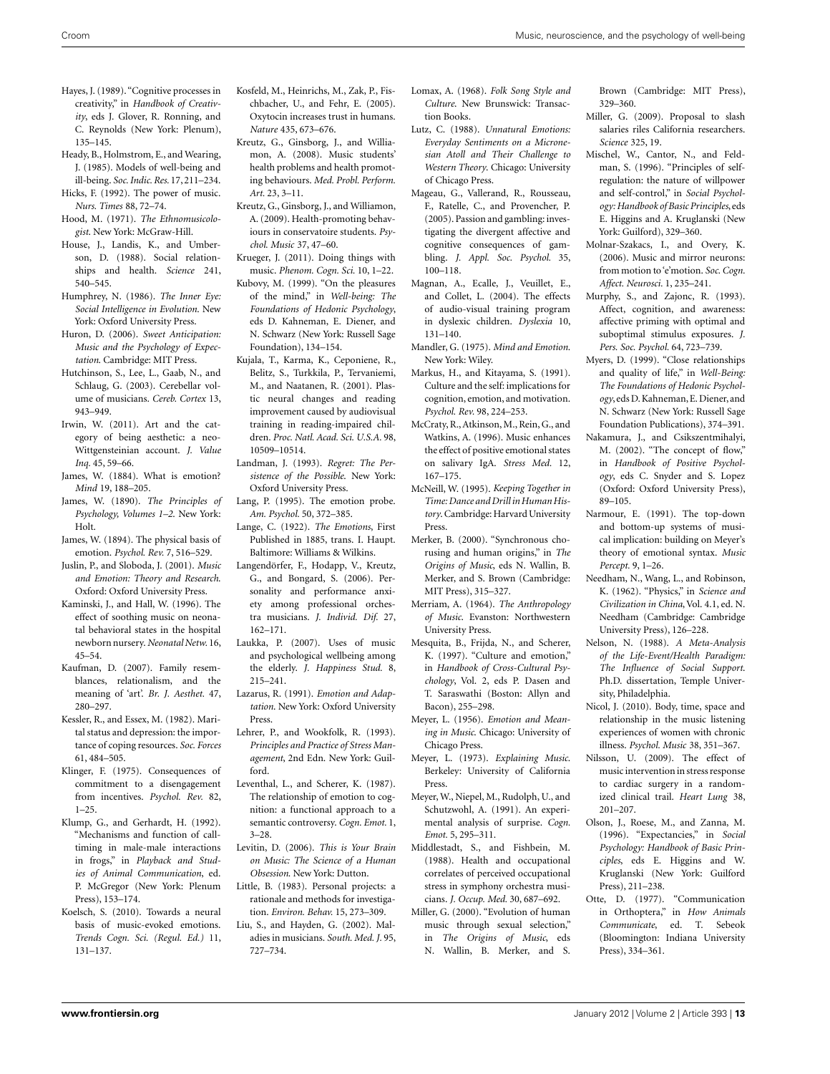- <span id="page-12-0"></span>Hayes, J. (1989). "Cognitive processes in creativity," in *Handbook of Creativity*, eds J. Glover, R. Ronning, and C. Reynolds (New York: Plenum), 135–145.
- Heady, B., Holmstrom, E., and Wearing, J. (1985). Models of well-being and ill-being. *Soc. Indic. Res.* 17,211–234.
- Hicks, F. (1992). The power of music. *Nurs. Times* 88, 72–74.
- Hood, M. (1971). *The Ethnomusicologist*. New York: McGraw-Hill.
- House, J., Landis, K., and Umberson, D. (1988). Social relationships and health. *Science* 241, 540–545.
- Humphrey, N. (1986). *The Inner Eye: Social Intelligence in Evolution*. New York: Oxford University Press.
- Huron, D. (2006). *Sweet Anticipation: Music and the Psychology of Expectation*. Cambridge: MIT Press.
- Hutchinson, S., Lee, L., Gaab, N., and Schlaug, G. (2003). Cerebellar volume of musicians. *Cereb. Cortex* 13, 943–949.
- Irwin, W. (2011). Art and the category of being aesthetic: a neo-Wittgensteinian account. *J. Value Inq.* 45, 59–66.
- James, W. (1884). What is emotion? *Mind* 19, 188–205.
- James, W. (1890). *The Principles of Psychology, Volumes 1–2*. New York: Holt.
- James, W. (1894). The physical basis of emotion. *Psychol. Rev.* 7, 516–529.
- Juslin, P., and Sloboda, J. (2001). *Music and Emotion: Theory and Research*. Oxford: Oxford University Press.
- Kaminski, J., and Hall, W. (1996). The effect of soothing music on neonatal behavioral states in the hospital newborn nursery. *Neonatal Netw.* 16, 45–54.
- Kaufman, D. (2007). Family resemblances, relationalism, and the meaning of 'art'. *Br. J. Aesthet.* 47, 280–297.
- Kessler, R., and Essex, M. (1982). Marital status and depression: the importance of coping resources. *Soc. Forces* 61, 484–505.
- Klinger, F. (1975). Consequences of commitment to a disengagement from incentives. *Psychol. Rev.* 82, 1–25.
- Klump, G., and Gerhardt, H. (1992). "Mechanisms and function of calltiming in male-male interactions in frogs," in *Playback and Studies of Animal Communication*, ed. P. McGregor (New York: Plenum Press), 153–174.
- Koelsch, S. (2010). Towards a neural basis of music-evoked emotions. *Trends Cogn. Sci. (Regul. Ed.)* 11, 131–137.
- Kosfeld, M., Heinrichs, M., Zak, P., Fischbacher, U., and Fehr, E. (2005). Oxytocin increases trust in humans. *Nature* 435, 673–676.
- Kreutz, G., Ginsborg, J., and Williamon, A. (2008). Music students' health problems and health promoting behaviours. *Med. Probl. Perform. Art.* 23, 3–11.
- Kreutz, G., Ginsborg, J., and Williamon, A. (2009). Health-promoting behaviours in conservatoire students. *Psychol. Music* 37, 47–60.
- Krueger, J. (2011). Doing things with music. *Phenom. Cogn. Sci.* 10, 1–22.
- Kubovy, M. (1999). "On the pleasures of the mind," in *Well-being: The Foundations of Hedonic Psychology*, eds D. Kahneman, E. Diener, and N. Schwarz (New York: Russell Sage Foundation), 134–154.
- Kujala, T., Karma, K., Ceponiene, R., Belitz, S., Turkkila, P., Tervaniemi, M., and Naatanen, R. (2001). Plastic neural changes and reading improvement caused by audiovisual training in reading-impaired children. *Proc. Natl. Acad. Sci. U.S.A.* 98, 10509–10514.
- Landman, J. (1993). *Regret: The Persistence of the Possible*. New York: Oxford University Press.
- Lang, P. (1995). The emotion probe. *Am. Psychol.* 50, 372–385.
- Lange, C. (1922). *The Emotions*, First Published in 1885, trans. I. Haupt. Baltimore: Williams & Wilkins.
- Langendörfer, F., Hodapp, V., Kreutz, G., and Bongard, S. (2006). Personality and performance anxiety among professional orchestra musicians. *J. Individ. Dif.* 27, 162–171.
- Laukka, P. (2007). Uses of music and psychological wellbeing among the elderly. *J. Happiness Stud.* 8, 215–241.
- Lazarus, R. (1991). *Emotion and Adaptation*. New York: Oxford University Press.
- Lehrer, P., and Wookfolk, R. (1993). *Principles and Practice of Stress Management*, 2nd Edn. New York: Guilford.
- Leventhal, L., and Scherer, K. (1987). The relationship of emotion to cognition: a functional approach to a semantic controversy. *Cogn. Emot.* 1, 3–28.
- Levitin, D. (2006). *This is Your Brain on Music: The Science of a Human Obsession*. New York: Dutton.
- Little, B. (1983). Personal projects: a rationale and methods for investigation. *Environ. Behav.* 15, 273–309.
- Liu, S., and Hayden, G. (2002). Maladies in musicians. *South. Med. J.* 95, 727–734.
- Lomax, A. (1968). *Folk Song Style and Culture*. New Brunswick: Transaction Books.
- Lutz, C. (1988). *Unnatural Emotions: Everyday Sentiments on a Micronesian Atoll and Their Challenge to Western Theory*. Chicago: University of Chicago Press.
- Mageau, G., Vallerand, R., Rousseau, F., Ratelle, C., and Provencher, P. (2005). Passion and gambling: investigating the divergent affective and cognitive consequences of gambling. *J. Appl. Soc. Psychol.* 35, 100–118.
- Magnan, A., Ecalle, J., Veuillet, E., and Collet, L. (2004). The effects of audio-visual training program in dyslexic children. *Dyslexia* 10, 131–140.
- Mandler, G. (1975). *Mind and Emotion*. New York: Wiley.
- Markus, H., and Kitayama, S. (1991). Culture and the self: implications for cognition, emotion, and motivation. *Psychol. Rev.* 98, 224–253.
- McCraty, R., Atkinson, M., Rein, G., and Watkins, A. (1996). Music enhances the effect of positive emotional states on salivary IgA. *Stress Med.* 12, 167–175.
- McNeill, W. (1995). *Keeping Together in Time: Dance and Drill in Human History*. Cambridge: Harvard University Press.
- Merker, B. (2000). "Synchronous chorusing and human origins," in *The Origins of Music*, eds N. Wallin, B. Merker, and S. Brown (Cambridge: MIT Press), 315–327.
- Merriam, A. (1964). *The Anthropology of Music*. Evanston: Northwestern University Press.
- Mesquita, B., Frijda, N., and Scherer, K. (1997). "Culture and emotion," in *Handbook of Cross-Cultural Psychology*, Vol. 2, eds P. Dasen and T. Saraswathi (Boston: Allyn and Bacon), 255–298.
- Meyer, L. (1956). *Emotion and Meaning in Music*. Chicago: University of Chicago Press.
- Meyer, L. (1973). *Explaining Music*. Berkeley: University of California Press.
- Meyer, W., Niepel, M., Rudolph, U., and Schutzwohl, A. (1991). An experimental analysis of surprise. *Cogn. Emot.* 5, 295–311.
- Middlestadt, S., and Fishbein, M. (1988). Health and occupational correlates of perceived occupational stress in symphony orchestra musicians. *J. Occup. Med.* 30, 687–692.
- Miller, G. (2000). "Evolution of human music through sexual selection," in *The Origins of Music*, eds N. Wallin, B. Merker, and S.

Brown (Cambridge: MIT Press), 329–360.

- Miller, G. (2009). Proposal to slash salaries riles California researchers. *Science* 325, 19.
- Mischel, W., Cantor, N., and Feldman, S. (1996). "Principles of selfregulation: the nature of willpower and self-control," in *Social Psychology: Handbook of Basic Principles*, eds E. Higgins and A. Kruglanski (New York: Guilford), 329–360.
- Molnar-Szakacs, I., and Overy, K. (2006). Music and mirror neurons: from motion to'e'motion. *Soc. Cogn. Affect. Neurosci.* 1, 235–241.
- Murphy, S., and Zajonc, R. (1993). Affect, cognition, and awareness: affective priming with optimal and suboptimal stimulus exposures. *J. Pers. Soc. Psychol.* 64, 723–739.
- Myers, D. (1999). "Close relationships and quality of life," in *Well-Being: The Foundations of Hedonic Psychology*, eds D. Kahneman, E. Diener, and N. Schwarz (New York: Russell Sage Foundation Publications), 374–391.
- Nakamura, J., and Csikszentmihalyi, M. (2002). "The concept of flow," in *Handbook of Positive Psychology*, eds C. Snyder and S. Lopez (Oxford: Oxford University Press), 89–105.
- Narmour, E. (1991). The top-down and bottom-up systems of musical implication: building on Meyer's theory of emotional syntax. *Music Percept.* 9, 1–26.
- Needham, N., Wang, L., and Robinson, K. (1962). "Physics," in *Science and Civilization in China*, Vol. 4.1, ed. N. Needham (Cambridge: Cambridge University Press), 126–228.
- Nelson, N. (1988). *A Meta-Analysis of the Life-Event/Health Paradigm: The Influence of Social Support*. Ph.D. dissertation, Temple University, Philadelphia.
- Nicol, J. (2010). Body, time, space and relationship in the music listening experiences of women with chronic illness. *Psychol. Music* 38, 351–367.
- Nilsson, U. (2009). The effect of music intervention in stress response to cardiac surgery in a randomized clinical trail. *Heart Lung* 38, 201–207.
- Olson, J., Roese, M., and Zanna, M. (1996). "Expectancies," in *Social Psychology: Handbook of Basic Principles*, eds E. Higgins and W. Kruglanski (New York: Guilford Press), 211–238.
- Otte, D. (1977). "Communication in Orthoptera," in *How Animals Communicate*, ed. T. Sebeok (Bloomington: Indiana University Press), 334–361.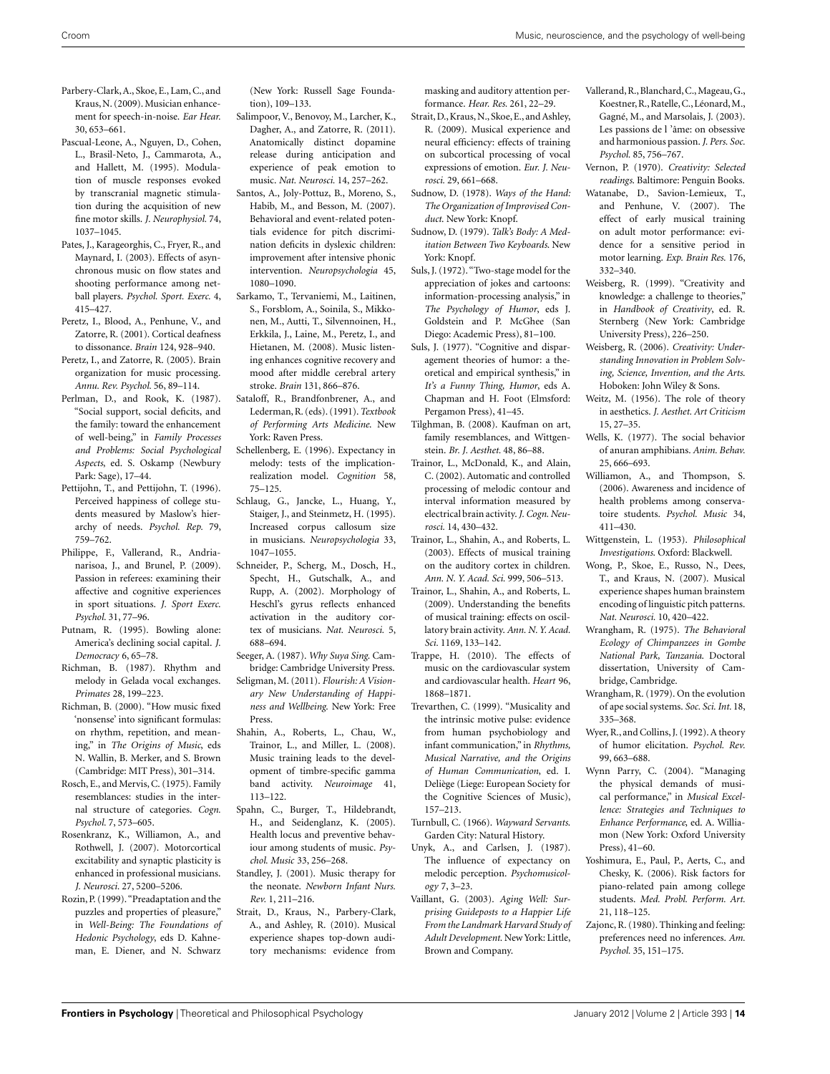- <span id="page-13-0"></span>Parbery-Clark,A., Skoe, E., Lam, C., and Kraus,N. (2009). Musician enhancement for speech-in-noise. *Ear Hear.* 30, 653–661.
- Pascual-Leone, A., Nguyen, D., Cohen, L., Brasil-Neto, J., Cammarota, A., and Hallett, M. (1995). Modulation of muscle responses evoked by transcranial magnetic stimulation during the acquisition of new fine motor skills. *J. Neurophysiol.* 74, 1037–1045.
- Pates, J., Karageorghis, C., Fryer, R., and Maynard, I. (2003). Effects of asynchronous music on flow states and shooting performance among netball players. *Psychol. Sport. Exerc.* 4, 415–427.
- Peretz, I., Blood, A., Penhune, V., and Zatorre, R. (2001). Cortical deafness to dissonance. *Brain* 124, 928–940.
- Peretz, I., and Zatorre, R. (2005). Brain organization for music processing. *Annu. Rev. Psychol.* 56, 89–114.
- Perlman, D., and Rook, K. (1987). "Social support, social deficits, and the family: toward the enhancement of well-being," in *Family Processes and Problems: Social Psychological Aspects*, ed. S. Oskamp (Newbury Park: Sage), 17–44.
- Pettijohn, T., and Pettijohn, T. (1996). Perceived happiness of college students measured by Maslow's hierarchy of needs. *Psychol. Rep.* 79, 759–762.
- Philippe, F., Vallerand, R., Andrianarisoa, J., and Brunel, P. (2009). Passion in referees: examining their affective and cognitive experiences in sport situations. *J. Sport Exerc. Psychol.* 31, 77–96.
- Putnam, R. (1995). Bowling alone: America's declining social capital. *J. Democracy* 6, 65–78.
- Richman, B. (1987). Rhythm and melody in Gelada vocal exchanges. *Primates* 28, 199–223.
- Richman, B. (2000). "How music fixed 'nonsense' into significant formulas: on rhythm, repetition, and meaning," in *The Origins of Music*, eds N. Wallin, B. Merker, and S. Brown (Cambridge: MIT Press), 301–314.
- Rosch, E., and Mervis, C. (1975). Family resemblances: studies in the internal structure of categories. *Cogn. Psychol.* 7, 573–605.
- Rosenkranz, K., Williamon, A., and Rothwell, J. (2007). Motorcortical excitability and synaptic plasticity is enhanced in professional musicians. *J. Neurosci.* 27, 5200–5206.
- Rozin, P. (1999)."Preadaptation and the puzzles and properties of pleasure," in *Well-Being: The Foundations of Hedonic Psychology*, eds D. Kahneman, E. Diener, and N. Schwarz

(New York: Russell Sage Foundation), 109–133.

- Salimpoor, V., Benovoy, M., Larcher, K., Dagher, A., and Zatorre, R. (2011). Anatomically distinct dopamine release during anticipation and experience of peak emotion to music. *Nat. Neurosci.* 14, 257–262.
- Santos, A., Joly-Pottuz, B., Moreno, S., Habib, M., and Besson, M. (2007). Behavioral and event-related potentials evidence for pitch discrimination deficits in dyslexic children: improvement after intensive phonic intervention. *Neuropsychologia* 45, 1080–1090.
- Sarkamo, T., Tervaniemi, M., Laitinen, S., Forsblom, A., Soinila, S., Mikkonen, M., Autti, T., Silvennoinen, H., Erkkila, J., Laine, M., Peretz, I., and Hietanen, M. (2008). Music listening enhances cognitive recovery and mood after middle cerebral artery stroke. *Brain* 131, 866–876.
- Sataloff, R., Brandfonbrener, A., and Lederman,R. (eds). (1991).*Textbook of Performing Arts Medicine*. New York: Raven Press.
- Schellenberg, E. (1996). Expectancy in melody: tests of the implicationrealization model. *Cognition* 58, 75–125.
- Schlaug, G., Jancke, L., Huang, Y., Staiger, J., and Steinmetz, H. (1995). Increased corpus callosum size in musicians. *Neuropsychologia* 33, 1047–1055.
- Schneider, P., Scherg, M., Dosch, H., Specht, H., Gutschalk, A., and Rupp, A. (2002). Morphology of Heschl's gyrus reflects enhanced activation in the auditory cortex of musicians. *Nat. Neurosci.* 5, 688–694.
- Seeger, A. (1987). *Why Suya Sing*. Cambridge: Cambridge University Press.
- Seligman, M. (2011). *Flourish: A Visionary New Understanding of Happiness and Wellbeing*. New York: Free Press.
- Shahin, A., Roberts, L., Chau, W., Trainor, L., and Miller, L. (2008). Music training leads to the development of timbre-specific gamma band activity. *Neuroimage* 41, 113–122.
- Spahn, C., Burger, T., Hildebrandt, H., and Seidenglanz, K. (2005). Health locus and preventive behaviour among students of music. *Psychol. Music* 33, 256–268.
- Standley, J. (2001). Music therapy for the neonate. *Newborn Infant Nurs. Rev.* 1, 211–216.
- Strait, D., Kraus, N., Parbery-Clark, A., and Ashley, R. (2010). Musical experience shapes top-down auditory mechanisms: evidence from

masking and auditory attention performance. *Hear. Res.* 261, 22–29.

- Strait, D.,Kraus,N., Skoe, E., and Ashley, R. (2009). Musical experience and neural efficiency: effects of training on subcortical processing of vocal expressions of emotion. *Eur. J. Neurosci.* 29, 661–668.
- Sudnow, D. (1978). *Ways of the Hand: The Organization of Improvised Conduct*. New York: Knopf.
- Sudnow, D. (1979). *Talk's Body: A Meditation Between Two Keyboards*. New York: Knopf.
- Suls, J. (1972). "Two-stage model for the appreciation of jokes and cartoons: information-processing analysis," in *The Psychology of Humor*, eds J. Goldstein and P. McGhee (San Diego: Academic Press), 81–100.
- Suls, J. (1977). "Cognitive and disparagement theories of humor: a theoretical and empirical synthesis," in *It's a Funny Thing, Humor*, eds A. Chapman and H. Foot (Elmsford: Pergamon Press), 41–45.
- Tilghman, B. (2008). Kaufman on art, family resemblances, and Wittgenstein. *Br. J. Aesthet.* 48, 86–88.
- Trainor, L., McDonald, K., and Alain, C. (2002). Automatic and controlled processing of melodic contour and interval information measured by electrical brain activity.*J. Cogn. Neurosci.* 14, 430–432.
- Trainor, L., Shahin, A., and Roberts, L. (2003). Effects of musical training on the auditory cortex in children. *Ann. N. Y. Acad. Sci.* 999, 506–513.
- Trainor, L., Shahin, A., and Roberts, L. (2009). Understanding the benefits of musical training: effects on oscillatory brain activity. *Ann. N. Y. Acad. Sci.* 1169, 133–142.
- Trappe, H. (2010). The effects of music on the cardiovascular system and cardiovascular health. *Heart* 96, 1868–1871.
- Trevarthen, C. (1999). "Musicality and the intrinsic motive pulse: evidence from human psychobiology and infant communication," in *Rhythms, Musical Narrative, and the Origins of Human Communication*, ed. I. Deliège (Liege: European Society for the Cognitive Sciences of Music), 157–213.
- Turnbull, C. (1966). *Wayward Servants*. Garden City: Natural History.
- Unyk, A., and Carlsen, J. (1987). The influence of expectancy on melodic perception. *Psychomusicology* 7, 3–23.
- Vaillant, G. (2003). *Aging Well: Surprising Guideposts to a Happier Life From the Landmark Harvard Study of Adult Development*. New York: Little, Brown and Company.
- Vallerand, R., Blanchard, C., Mageau, G., Koestner,R.,Ratelle,C., Léonard,M., Gagné, M., and Marsolais, J. (2003). Les passions de l 'âme: on obsessive and harmonious passion. *J. Pers. Soc. Psychol.* 85, 756–767.
- Vernon, P. (1970). *Creativity: Selected readings*. Baltimore: Penguin Books.
- Watanabe, D., Savion-Lemieux, T., and Penhune, V. (2007). The effect of early musical training on adult motor performance: evidence for a sensitive period in motor learning. *Exp. Brain Res.* 176, 332–340.
- Weisberg, R. (1999). "Creativity and knowledge: a challenge to theories," in *Handbook of Creativity*, ed. R. Sternberg (New York: Cambridge University Press), 226–250.
- Weisberg, R. (2006). *Creativity: Understanding Innovation in Problem Solving, Science, Invention, and the Arts*. Hoboken: John Wiley & Sons.
- Weitz, M. (1956). The role of theory in aesthetics. *J. Aesthet. Art Criticism* 15, 27–35.
- Wells, K. (1977). The social behavior of anuran amphibians. *Anim. Behav.* 25, 666–693.
- Williamon, A., and Thompson, S. (2006). Awareness and incidence of health problems among conservatoire students. *Psychol. Music* 34, 411–430.
- Wittgenstein, L. (1953). *Philosophical Investigations*. Oxford: Blackwell.
- Wong, P., Skoe, E., Russo, N., Dees, T., and Kraus, N. (2007). Musical experience shapes human brainstem encoding of linguistic pitch patterns. *Nat. Neurosci.* 10, 420–422.
- Wrangham, R. (1975). *The Behavioral Ecology of Chimpanzees in Gombe National Park, Tanzania*. Doctoral dissertation, University of Cambridge, Cambridge.
- Wrangham, R. (1979). On the evolution of ape social systems. *Soc. Sci. Int.* 18, 335–368.
- Wyer, R., and Collins, J. (1992). A theory of humor elicitation. *Psychol. Rev.* 99, 663–688.
- Wynn Parry, C. (2004). "Managing the physical demands of musical performance," in *Musical Excellence: Strategies and Techniques to Enhance Performance*, ed. A. Williamon (New York: Oxford University Press), 41–60.
- Yoshimura, E., Paul, P., Aerts, C., and Chesky, K. (2006). Risk factors for piano-related pain among college students. *Med. Probl. Perform. Art.* 21, 118–125.
- Zajonc, R. (1980). Thinking and feeling: preferences need no inferences. *Am. Psychol.* 35, 151–175.